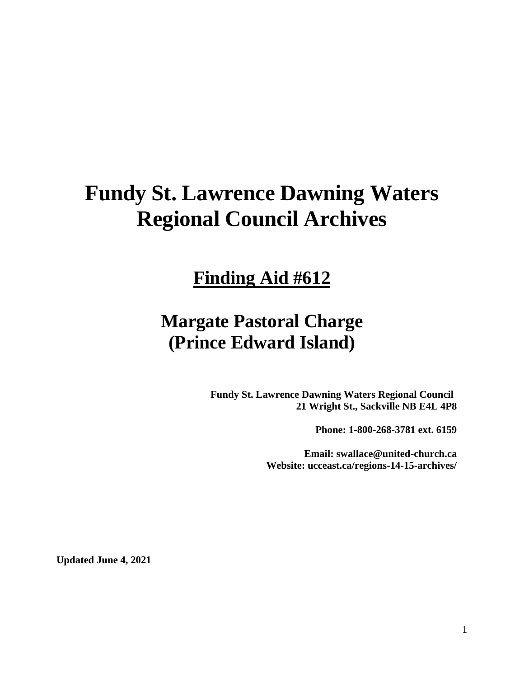# **Fundy St. Lawrence Dawning Waters Regional Council Archives**

## **Finding Aid #612**

## **Margate Pastoral Charge (Prince Edward Island)**

**Fundy St. Lawrence Dawning Waters Regional Council 21 Wright St., Sackville NB E4L 4P8**

**Phone: 1-800-268-3781 ext. 6159**

**Email: swallace@united-church.ca Website: ucceast.ca/regions-14-15-archives/**

**Updated June 4, 2021**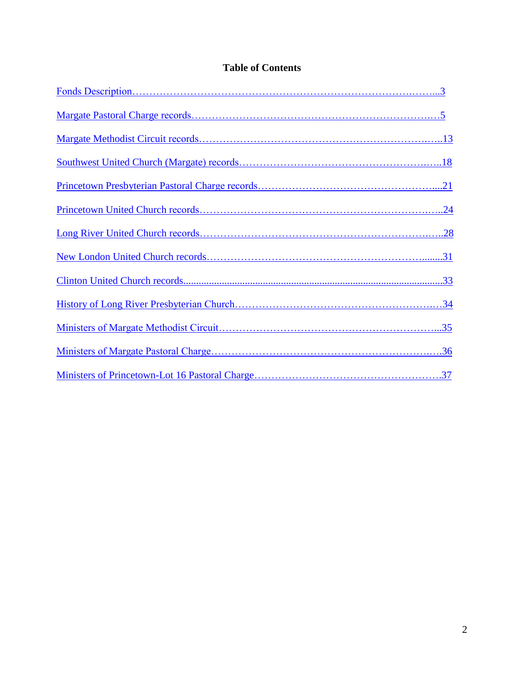## **Table of Contents**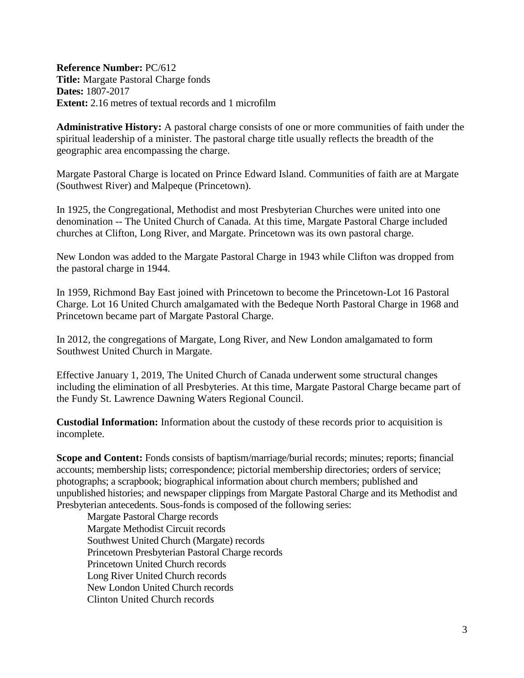<span id="page-2-0"></span>**Reference Number:** PC/612 **Title:** Margate Pastoral Charge fonds **Dates:** 1807-2017 **Extent:** 2.16 metres of textual records and 1 microfilm

**Administrative History:** A pastoral charge consists of one or more communities of faith under the spiritual leadership of a minister. The pastoral charge title usually reflects the breadth of the geographic area encompassing the charge.

Margate Pastoral Charge is located on Prince Edward Island. Communities of faith are at Margate (Southwest River) and Malpeque (Princetown).

In 1925, the Congregational, Methodist and most Presbyterian Churches were united into one denomination -- The United Church of Canada. At this time, Margate Pastoral Charge included churches at Clifton, Long River, and Margate. Princetown was its own pastoral charge.

New London was added to the Margate Pastoral Charge in 1943 while Clifton was dropped from the pastoral charge in 1944.

In 1959, Richmond Bay East joined with Princetown to become the Princetown-Lot 16 Pastoral Charge. Lot 16 United Church amalgamated with the Bedeque North Pastoral Charge in 1968 and Princetown became part of Margate Pastoral Charge.

In 2012, the congregations of Margate, Long River, and New London amalgamated to form Southwest United Church in Margate.

Effective January 1, 2019, The United Church of Canada underwent some structural changes including the elimination of all Presbyteries. At this time, Margate Pastoral Charge became part of the Fundy St. Lawrence Dawning Waters Regional Council.

**Custodial Information:** Information about the custody of these records prior to acquisition is incomplete.

**Scope and Content:** Fonds consists of baptism/marriage/burial records; minutes; reports; financial accounts; membership lists; correspondence; pictorial membership directories; orders of service; photographs; a scrapbook; biographical information about church members; published and unpublished histories; and newspaper clippings from Margate Pastoral Charge and its Methodist and Presbyterian antecedents. Sous-fonds is composed of the following series:

Margate Pastoral Charge records Margate Methodist Circuit records Southwest United Church (Margate) records Princetown Presbyterian Pastoral Charge records Princetown United Church records Long River United Church records New London United Church records Clinton United Church records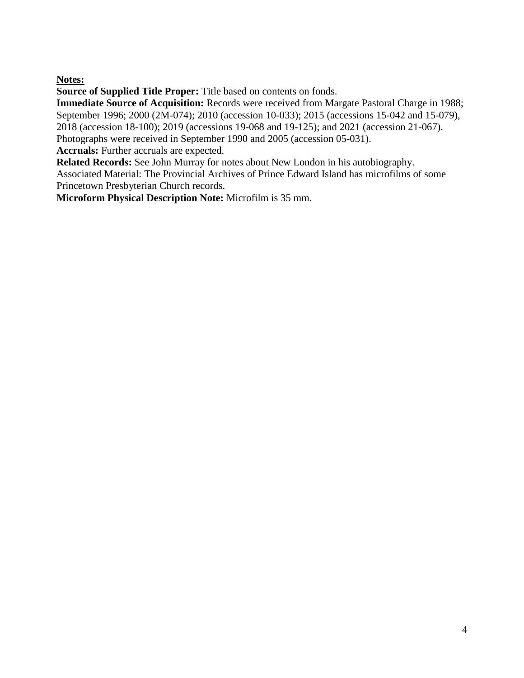#### **Notes:**

**Source of Supplied Title Proper:** Title based on contents on fonds.

**Immediate Source of Acquisition:** Records were received from Margate Pastoral Charge in 1988; September 1996; 2000 (2M-074); 2010 (accession 10-033); 2015 (accessions 15-042 and 15-079), 2018 (accession 18-100); 2019 (accessions 19-068 and 19-125); and 2021 (accession 21-067). Photographs were received in September 1990 and 2005 (accession 05-031).

**Accruals:** Further accruals are expected.

**Related Records:** See John Murray for notes about New London in his autobiography.

Associated Material: The Provincial Archives of Prince Edward Island has microfilms of some Princetown Presbyterian Church records.

<span id="page-3-0"></span>**Microform Physical Description Note:** Microfilm is 35 mm.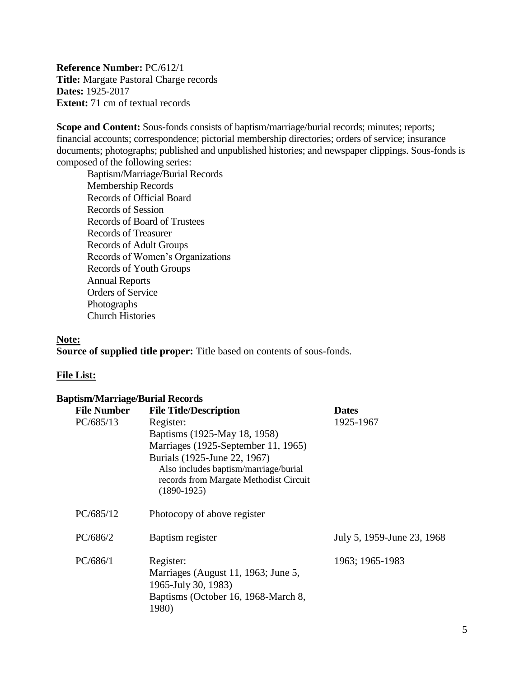**Reference Number:** PC/612/1 **Title:** Margate Pastoral Charge records **Dates:** 1925-2017 **Extent:** 71 cm of textual records

**Scope and Content:** Sous-fonds consists of baptism/marriage/burial records; minutes; reports; financial accounts; correspondence; pictorial membership directories; orders of service; insurance documents; photographs; published and unpublished histories; and newspaper clippings. Sous-fonds is composed of the following series:

Baptism/Marriage/Burial Records Membership Records Records of Official Board Records of Session Records of Board of Trustees Records of Treasurer Records of Adult Groups Records of Women's Organizations Records of Youth Groups Annual Reports Orders of Service Photographs Church Histories

#### **Note:**

**Source of supplied title proper:** Title based on contents of sous-fonds.

#### **File List:**

#### **Baptism/Marriage/Burial Records**

| <b>File Number</b> | <b>File Title/Description</b>                           | <b>Dates</b>               |
|--------------------|---------------------------------------------------------|----------------------------|
| PC/685/13          | Register:                                               | 1925-1967                  |
|                    | Baptisms (1925-May 18, 1958)                            |                            |
|                    | Marriages (1925-September 11, 1965)                     |                            |
|                    | Burials (1925-June 22, 1967)                            |                            |
|                    | Also includes baptism/marriage/burial                   |                            |
|                    | records from Margate Methodist Circuit<br>$(1890-1925)$ |                            |
|                    |                                                         |                            |
| PC/685/12          | Photocopy of above register                             |                            |
|                    |                                                         |                            |
| PC/686/2           | Baptism register                                        | July 5, 1959-June 23, 1968 |
| PC/686/1           | Register:                                               | 1963; 1965-1983            |
|                    | Marriages (August 11, 1963; June 5,                     |                            |
|                    | 1965-July 30, 1983)                                     |                            |
|                    | Baptisms (October 16, 1968-March 8,                     |                            |
|                    | 1980)                                                   |                            |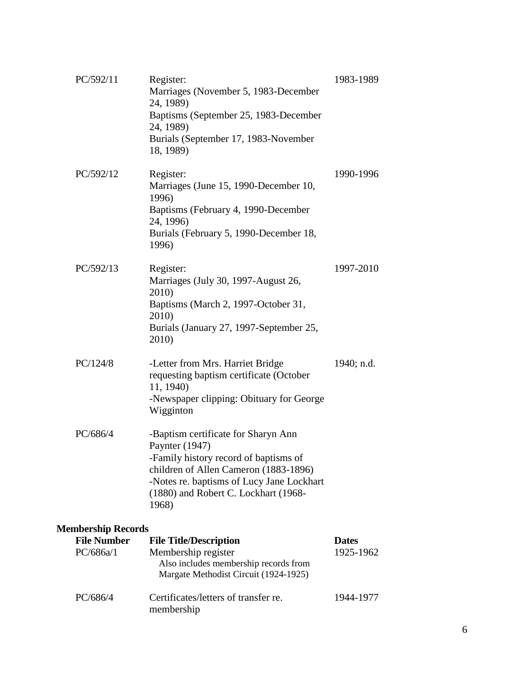| PC/592/11                 | Register:<br>Marriages (November 5, 1983-December<br>24, 1989)<br>Baptisms (September 25, 1983-December<br>24, 1989)<br>Burials (September 17, 1983-November<br>18, 1989)                                                             | 1983-1989    |  |  |
|---------------------------|---------------------------------------------------------------------------------------------------------------------------------------------------------------------------------------------------------------------------------------|--------------|--|--|
| PC/592/12                 | Register:<br>Marriages (June 15, 1990-December 10,<br>1996)<br>Baptisms (February 4, 1990-December<br>24, 1996)<br>Burials (February 5, 1990-December 18,<br>1996)                                                                    | 1990-1996    |  |  |
| PC/592/13                 | Register:<br>Marriages (July 30, 1997-August 26,<br>2010)<br>Baptisms (March 2, 1997-October 31,<br>2010)<br>Burials (January 27, 1997-September 25,<br>2010)                                                                         | 1997-2010    |  |  |
| PC/124/8                  | -Letter from Mrs. Harriet Bridge<br>requesting baptism certificate (October<br>11, 1940)<br>-Newspaper clipping: Obituary for George<br>Wigginton                                                                                     | 1940; n.d.   |  |  |
| PC/686/4                  | -Baptism certificate for Sharyn Ann<br>Paynter (1947)<br>-Family history record of baptisms of<br>children of Allen Cameron (1883-1896)<br>-Notes re. baptisms of Lucy Jane Lockhart<br>(1880) and Robert C. Lockhart (1968-<br>1968) |              |  |  |
| <b>Membership Records</b> |                                                                                                                                                                                                                                       |              |  |  |
| <b>File Number</b>        | <b>File Title/Description</b>                                                                                                                                                                                                         | <b>Dates</b> |  |  |
| PC/686a/1                 | Membership register<br>Also includes membership records from<br>Margate Methodist Circuit (1924-1925)                                                                                                                                 | 1925-1962    |  |  |
| PC/686/4                  | Certificates/letters of transfer re.<br>membership                                                                                                                                                                                    | 1944-1977    |  |  |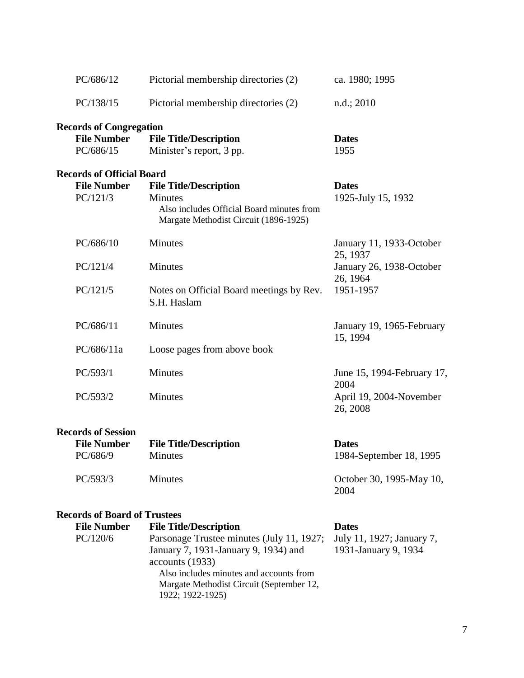| PC/686/12                                                               | Pictorial membership directories (2)                                                                                                  | ca. 1980; 1995                                                                            |
|-------------------------------------------------------------------------|---------------------------------------------------------------------------------------------------------------------------------------|-------------------------------------------------------------------------------------------|
| PC/138/15                                                               | Pictorial membership directories (2)                                                                                                  | n.d.; 2010                                                                                |
| <b>Records of Congregation</b><br><b>File Number</b><br>PC/686/15       | <b>File Title/Description</b><br>Minister's report, 3 pp.                                                                             | <b>Dates</b><br>1955                                                                      |
| <b>Records of Official Board</b><br><b>File Number</b><br>PC/121/3      | <b>File Title/Description</b><br><b>Minutes</b><br>Also includes Official Board minutes from<br>Margate Methodist Circuit (1896-1925) | <b>Dates</b><br>1925-July 15, 1932                                                        |
| PC/686/10<br>PC/121/4<br>PC/121/5                                       | <b>Minutes</b><br>Minutes<br>Notes on Official Board meetings by Rev.<br>S.H. Haslam                                                  | January 11, 1933-October<br>25, 1937<br>January 26, 1938-October<br>26, 1964<br>1951-1957 |
| PC/686/11<br>PC/686/11a                                                 | Minutes<br>Loose pages from above book                                                                                                | January 19, 1965-February<br>15, 1994                                                     |
| PC/593/1<br>PC/593/2                                                    | <b>Minutes</b><br>Minutes                                                                                                             | June 15, 1994-February 17,<br>2004<br>April 19, 2004-November<br>26, 2008                 |
| <b>Records of Session</b><br><b>File Number</b><br>PC/686/9<br>PC/593/3 | <b>File Title/Description</b><br>Minutes<br>Minutes                                                                                   | <b>Dates</b><br>1984-September 18, 1995<br>October 30, 1995-May 10,<br>2004               |
| <b>Records of Board of Trustees</b>                                     |                                                                                                                                       |                                                                                           |

| <b>File Number</b> | <b>File Title/Description</b>             | <b>Dates</b>              |
|--------------------|-------------------------------------------|---------------------------|
| PC/120/6           | Parsonage Trustee minutes (July 11, 1927; | July 11, 1927; January 7, |
|                    | January 7, 1931-January 9, 1934) and      | 1931-January 9, 1934      |
|                    | accounts (1933)                           |                           |
|                    | Also includes minutes and accounts from   |                           |
|                    | Margate Methodist Circuit (September 12,  |                           |
|                    | 1922; 1922-1925)                          |                           |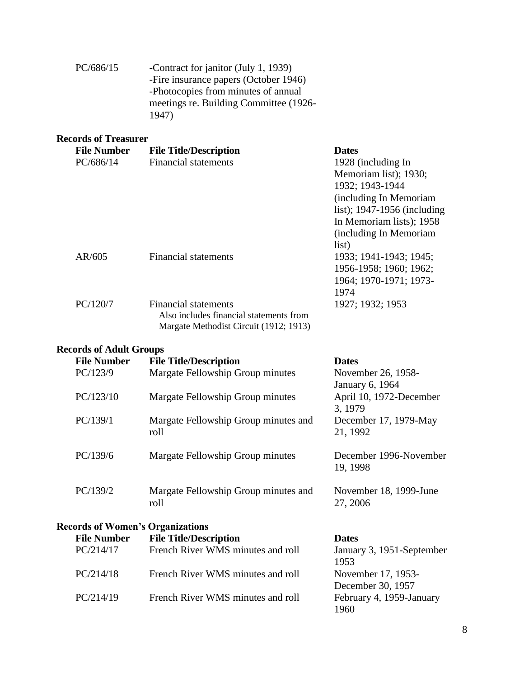| PC/686/15 | -Contract for janitor (July 1, 1939)   |
|-----------|----------------------------------------|
|           | -Fire insurance papers (October 1946)  |
|           | -Photocopies from minutes of annual    |
|           | meetings re. Building Committee (1926- |
|           | 1947)                                  |

## **Records of Treasurer**

| <b>File Number</b> | <b>File Title/Description</b>           | <b>Dates</b>                  |
|--------------------|-----------------------------------------|-------------------------------|
| PC/686/14          | <b>Financial statements</b>             | 1928 (including In            |
|                    |                                         | Memoriam list); 1930;         |
|                    |                                         | 1932; 1943-1944               |
|                    |                                         | (including In Memoriam        |
|                    |                                         | list); $1947-1956$ (including |
|                    |                                         | In Memoriam lists); 1958      |
|                    |                                         | (including In Memoriam)       |
|                    |                                         | list)                         |
| AR/605             | <b>Financial statements</b>             | 1933; 1941-1943; 1945;        |
|                    |                                         | 1956-1958; 1960; 1962;        |
|                    |                                         | 1964; 1970-1971; 1973-        |
|                    |                                         | 1974                          |
| PC/120/7           | Financial statements                    | 1927; 1932; 1953              |
|                    | Also includes financial statements from |                               |
|                    | Margate Methodist Circuit (1912; 1913)  |                               |

#### **Records of Adult Groups**

| <b>File Number</b>                      | <b>File Title/Description</b>                | <b>Dates</b>                          |
|-----------------------------------------|----------------------------------------------|---------------------------------------|
| PC/123/9                                | Margate Fellowship Group minutes             | November 26, 1958-<br>January 6, 1964 |
| PC/123/10                               | Margate Fellowship Group minutes             | April 10, 1972-December<br>3, 1979    |
| PC/139/1                                | Margate Fellowship Group minutes and<br>roll | December 17, 1979-May<br>21, 1992     |
| PC/139/6                                | Margate Fellowship Group minutes             | December 1996-November<br>19, 1998    |
| PC/139/2                                | Margate Fellowship Group minutes and<br>roll | November 18, 1999-June<br>27, 2006    |
| <b>Records of Women's Organizations</b> |                                              |                                       |
| <b>File Number</b>                      | <b>File Title/Description</b>                | <b>Dates</b>                          |
| PC/214/17                               | French River WMS minutes and roll            | January 3, 1951-September<br>1953     |
| PC/214/18                               | French River WMS minutes and roll            | November 17, 1953-                    |
|                                         |                                              | December 30, 1957                     |
| PC/214/19                               | French River WMS minutes and roll            | February 4, 1959-January<br>1960      |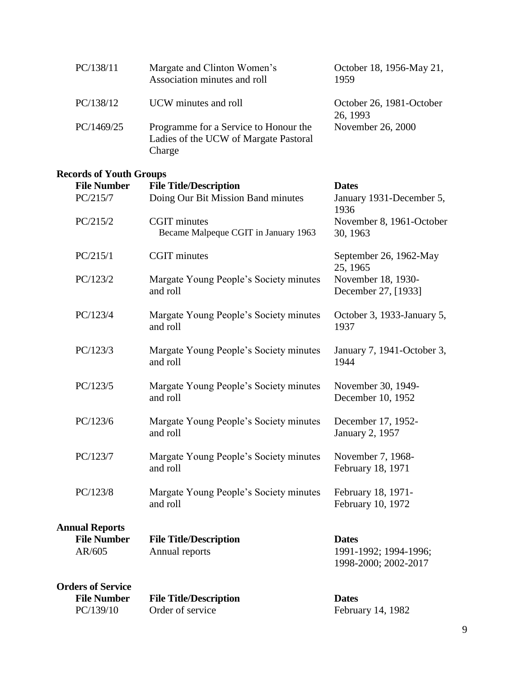| PC/138/11  | Margate and Clinton Women's<br>Association minutes and roll                              | October 18, 1956-May 21,<br>1959     |
|------------|------------------------------------------------------------------------------------------|--------------------------------------|
| PC/138/12  | UCW minutes and roll                                                                     | October 26, 1981-October<br>26, 1993 |
| PC/1469/25 | Programme for a Service to Honour the<br>Ladies of the UCW of Margate Pastoral<br>Charge | November 26, 2000                    |

#### **Records of Youth Groups**

| <b>File Number</b>           | <b>File Title/Description</b>                      | <b>Dates</b>                                                  |
|------------------------------|----------------------------------------------------|---------------------------------------------------------------|
| PC/215/7                     | Doing Our Bit Mission Band minutes                 | January 1931-December 5,<br>1936                              |
| PC/215/2                     | <b>CGIT</b> minutes                                | November 8, 1961-October                                      |
|                              | Became Malpeque CGIT in January 1963               | 30, 1963                                                      |
| PC/215/1                     | <b>CGIT</b> minutes                                | September 26, 1962-May<br>25, 1965                            |
| PC/123/2                     | Margate Young People's Society minutes<br>and roll | November 18, 1930-<br>December 27, [1933]                     |
| PC/123/4                     | Margate Young People's Society minutes<br>and roll | October 3, 1933-January 5,<br>1937                            |
| PC/123/3                     | Margate Young People's Society minutes<br>and roll | January 7, 1941-October 3,<br>1944                            |
| PC/123/5                     | Margate Young People's Society minutes<br>and roll | November 30, 1949-<br>December 10, 1952                       |
| PC/123/6                     | Margate Young People's Society minutes<br>and roll | December 17, 1952-<br>January 2, 1957                         |
| PC/123/7                     | Margate Young People's Society minutes<br>and roll | November 7, 1968-<br>February 18, 1971                        |
| PC/123/8                     | Margate Young People's Society minutes<br>and roll | February 18, 1971-<br>February 10, 1972                       |
| <b>Annual Reports</b>        |                                                    |                                                               |
| <b>File Number</b><br>AR/605 | <b>File Title/Description</b><br>Annual reports    | <b>Dates</b><br>1991-1992; 1994-1996;<br>1998-2000; 2002-2017 |
| <b>Orders of Service</b>     |                                                    |                                                               |
| Eile Number                  | File Title/Decembrian                              | $\mathbf{D}_{\alpha}$                                         |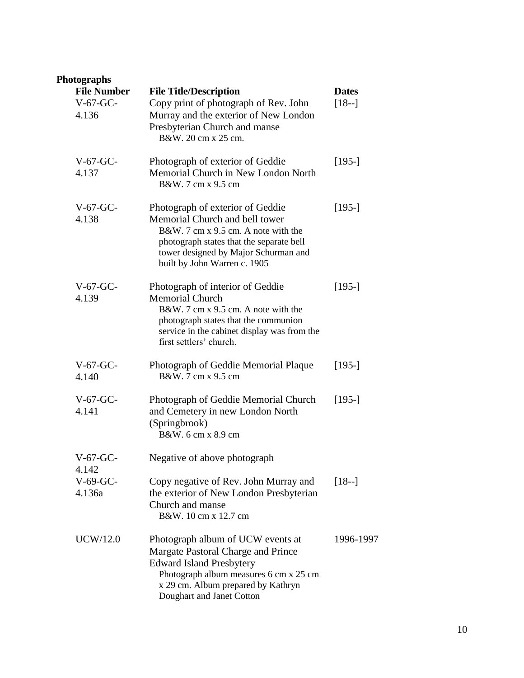## **Photographs**

| <b>File Number</b><br>$V-67-GC-$<br>4.136 | <b>File Title/Description</b><br>Copy print of photograph of Rev. John<br>Murray and the exterior of New London<br>Presbyterian Church and manse<br>B&W. 20 cm x 25 cm.                                                       | <b>Dates</b><br>$[18-]$ |
|-------------------------------------------|-------------------------------------------------------------------------------------------------------------------------------------------------------------------------------------------------------------------------------|-------------------------|
| $V-67-GC-$<br>4.137                       | Photograph of exterior of Geddie<br>Memorial Church in New London North<br>B&W. 7 cm x 9.5 cm                                                                                                                                 | $[195-]$                |
| $V-67-GC$ -<br>4.138                      | Photograph of exterior of Geddie<br>Memorial Church and bell tower<br>B&W, 7 cm x 9.5 cm. A note with the<br>photograph states that the separate bell<br>tower designed by Major Schurman and<br>built by John Warren c. 1905 | $[195-]$                |
| $V-67-GC-$<br>4.139                       | Photograph of interior of Geddie<br><b>Memorial Church</b><br>B&W, 7 cm x 9.5 cm. A note with the<br>photograph states that the communion<br>service in the cabinet display was from the<br>first settlers' church.           | $[195-]$                |
| $V-67-GC-$<br>4.140                       | Photograph of Geddie Memorial Plaque<br>B&W. 7 cm x 9.5 cm                                                                                                                                                                    | $[195-]$                |
| $V-67-GC$ -<br>4.141                      | Photograph of Geddie Memorial Church<br>and Cemetery in new London North<br>(Springbrook)<br>B&W. 6 cm x 8.9 cm                                                                                                               | $[195-]$                |
| $V-67-GC-$<br>4.142                       | Negative of above photograph                                                                                                                                                                                                  |                         |
| $V-69-GC-$<br>4.136a                      | Copy negative of Rev. John Murray and<br>the exterior of New London Presbyterian<br>Church and manse<br>B&W. 10 cm x 12.7 cm                                                                                                  | $[18-]$                 |
| <b>UCW/12.0</b>                           | Photograph album of UCW events at<br>Margate Pastoral Charge and Prince<br><b>Edward Island Presbytery</b><br>Photograph album measures 6 cm x 25 cm<br>x 29 cm. Album prepared by Kathryn<br>Doughart and Janet Cotton       | 1996-1997               |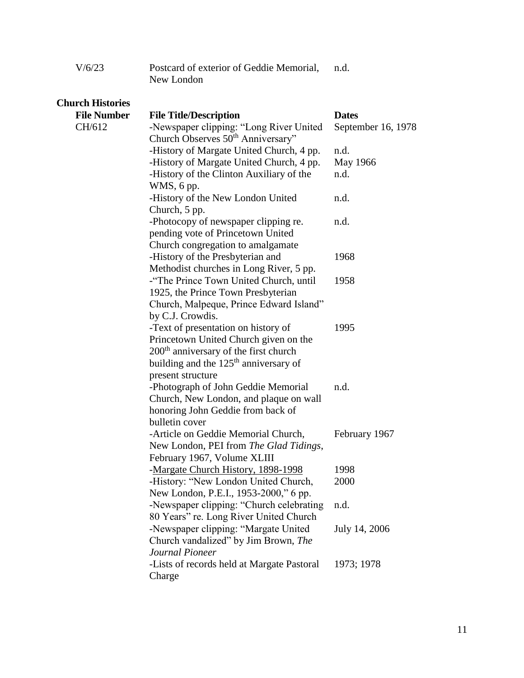| V/6/23 | Postcard of exterior of Geddie Memorial, | n.d. |
|--------|------------------------------------------|------|
|        | New London                               |      |

| <b>Church Histories</b> |                                                                                          |                    |
|-------------------------|------------------------------------------------------------------------------------------|--------------------|
| <b>File Number</b>      | <b>File Title/Description</b>                                                            | <b>Dates</b>       |
| CH/612                  | -Newspaper clipping: "Long River United<br>Church Observes 50 <sup>th</sup> Anniversary" | September 16, 1978 |
|                         | -History of Margate United Church, 4 pp.                                                 | n.d.               |
|                         | -History of Margate United Church, 4 pp.                                                 | May 1966           |
|                         | -History of the Clinton Auxiliary of the                                                 | n.d.               |
|                         | WMS, 6 pp.                                                                               |                    |
|                         | -History of the New London United                                                        | n.d.               |
|                         | Church, 5 pp.                                                                            |                    |
|                         | -Photocopy of newspaper clipping re.                                                     | n.d.               |
|                         | pending vote of Princetown United                                                        |                    |
|                         | Church congregation to amalgamate                                                        |                    |
|                         | -History of the Presbyterian and                                                         | 1968               |
|                         | Methodist churches in Long River, 5 pp.                                                  |                    |
|                         | -"The Prince Town United Church, until                                                   | 1958               |
|                         | 1925, the Prince Town Presbyterian                                                       |                    |
|                         | Church, Malpeque, Prince Edward Island"                                                  |                    |
|                         | by C.J. Crowdis.                                                                         |                    |
|                         | -Text of presentation on history of                                                      | 1995               |
|                         | Princetown United Church given on the                                                    |                    |
|                         | 200 <sup>th</sup> anniversary of the first church                                        |                    |
|                         | building and the 125 <sup>th</sup> anniversary of                                        |                    |
|                         | present structure                                                                        |                    |
|                         | -Photograph of John Geddie Memorial                                                      | n.d.               |
|                         | Church, New London, and plaque on wall                                                   |                    |
|                         | honoring John Geddie from back of                                                        |                    |
|                         | bulletin cover                                                                           |                    |
|                         | -Article on Geddie Memorial Church,                                                      | February 1967      |
|                         | New London, PEI from The Glad Tidings,                                                   |                    |
|                         | February 1967, Volume XLIII                                                              |                    |
|                         | -Margate Church History, 1898-1998                                                       | 1998               |
|                         | -History: "New London United Church,                                                     | 2000               |
|                         | New London, P.E.I., 1953-2000," 6 pp.                                                    |                    |
|                         | -Newspaper clipping: "Church celebrating                                                 | n.d.               |
|                         | 80 Years" re. Long River United Church                                                   |                    |
|                         | -Newspaper clipping: "Margate United                                                     | July 14, 2006      |
|                         | Church vandalized" by Jim Brown, The                                                     |                    |
|                         | Journal Pioneer                                                                          |                    |
|                         | -Lists of records held at Margate Pastoral<br>Charge                                     | 1973; 1978         |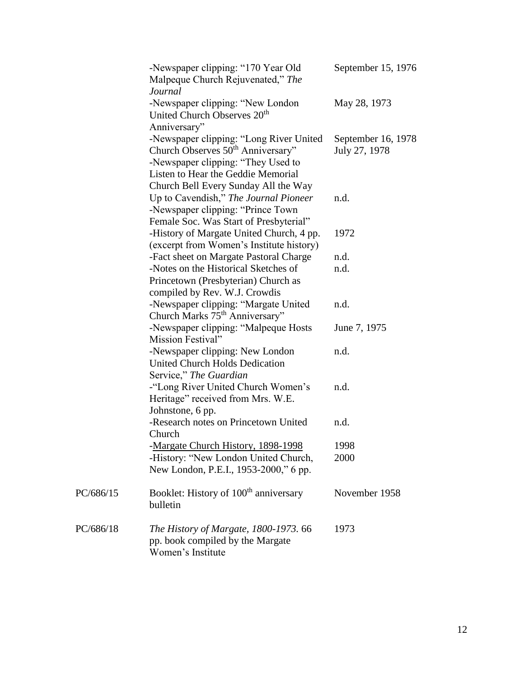|           | -Newspaper clipping: "170 Year Old<br>Malpeque Church Rejuvenated," The<br>Journal                                                                                                                           | September 15, 1976                  |
|-----------|--------------------------------------------------------------------------------------------------------------------------------------------------------------------------------------------------------------|-------------------------------------|
|           | -Newspaper clipping: "New London"<br>United Church Observes 20 <sup>th</sup><br>Anniversary"                                                                                                                 | May 28, 1973                        |
|           | -Newspaper clipping: "Long River United<br>Church Observes 50 <sup>th</sup> Anniversary"<br>-Newspaper clipping: "They Used to<br>Listen to Hear the Geddie Memorial<br>Church Bell Every Sunday All the Way | September 16, 1978<br>July 27, 1978 |
|           | Up to Cavendish," The Journal Pioneer<br>-Newspaper clipping: "Prince Town<br>Female Soc. Was Start of Presbyterial"                                                                                         | n.d.                                |
|           | -History of Margate United Church, 4 pp.<br>(excerpt from Women's Institute history)                                                                                                                         | 1972                                |
|           | -Fact sheet on Margate Pastoral Charge                                                                                                                                                                       | n.d.                                |
|           | -Notes on the Historical Sketches of<br>Princetown (Presbyterian) Church as<br>compiled by Rev. W.J. Crowdis                                                                                                 | n.d.                                |
|           | -Newspaper clipping: "Margate United<br>Church Marks 75 <sup>th</sup> Anniversary"                                                                                                                           | n.d.                                |
|           | -Newspaper clipping: "Malpeque Hosts<br>Mission Festival"                                                                                                                                                    | June 7, 1975                        |
|           | -Newspaper clipping: New London<br>United Church Holds Dedication<br>Service," The Guardian                                                                                                                  | n.d.                                |
|           | -"Long River United Church Women's<br>Heritage" received from Mrs. W.E.<br>Johnstone, 6 pp.                                                                                                                  | n.d.                                |
|           | -Research notes on Princetown United<br>Church                                                                                                                                                               | n.d.                                |
|           | -Margate Church History, 1898-1998                                                                                                                                                                           | 1998                                |
|           | -History: "New London United Church,<br>New London, P.E.I., 1953-2000," 6 pp.                                                                                                                                | 2000                                |
| PC/686/15 | Booklet: History of 100 <sup>th</sup> anniversary<br>bulletin                                                                                                                                                | November 1958                       |
| PC/686/18 | The History of Margate, 1800-1973. 66<br>pp. book compiled by the Margate<br>Women's Institute                                                                                                               | 1973                                |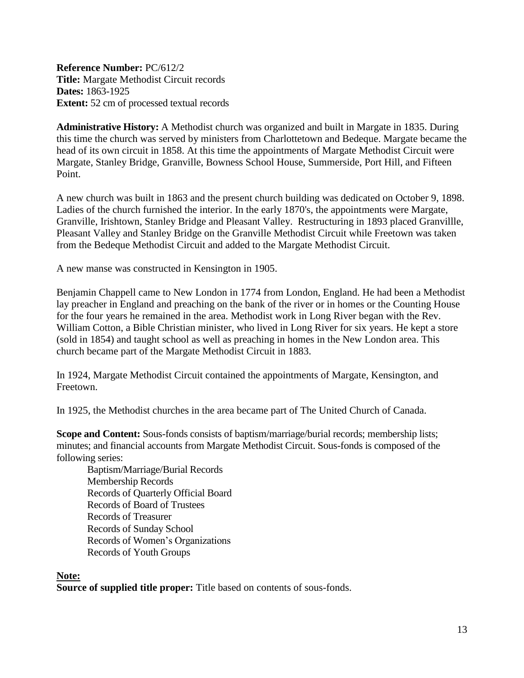<span id="page-12-0"></span>**Reference Number:** PC/612/2 **Title:** Margate Methodist Circuit records **Dates:** 1863-1925 **Extent:** 52 cm of processed textual records

**Administrative History:** A Methodist church was organized and built in Margate in 1835. During this time the church was served by ministers from Charlottetown and Bedeque. Margate became the head of its own circuit in 1858. At this time the appointments of Margate Methodist Circuit were Margate, Stanley Bridge, Granville, Bowness School House, Summerside, Port Hill, and Fifteen Point.

A new church was built in 1863 and the present church building was dedicated on October 9, 1898. Ladies of the church furnished the interior. In the early 1870's, the appointments were Margate, Granville, Irishtown, Stanley Bridge and Pleasant Valley. Restructuring in 1893 placed Granvillle, Pleasant Valley and Stanley Bridge on the Granville Methodist Circuit while Freetown was taken from the Bedeque Methodist Circuit and added to the Margate Methodist Circuit.

A new manse was constructed in Kensington in 1905.

Benjamin Chappell came to New London in 1774 from London, England. He had been a Methodist lay preacher in England and preaching on the bank of the river or in homes or the Counting House for the four years he remained in the area. Methodist work in Long River began with the Rev. William Cotton, a Bible Christian minister, who lived in Long River for six years. He kept a store (sold in 1854) and taught school as well as preaching in homes in the New London area. This church became part of the Margate Methodist Circuit in 1883.

In 1924, Margate Methodist Circuit contained the appointments of Margate, Kensington, and Freetown.

In 1925, the Methodist churches in the area became part of The United Church of Canada.

**Scope and Content:** Sous-fonds consists of baptism/marriage/burial records; membership lists; minutes; and financial accounts from Margate Methodist Circuit. Sous-fonds is composed of the following series:

Baptism/Marriage/Burial Records Membership Records Records of Quarterly Official Board Records of Board of Trustees Records of Treasurer Records of Sunday School Records of Women's Organizations Records of Youth Groups

#### **Note:**

**Source of supplied title proper:** Title based on contents of sous-fonds.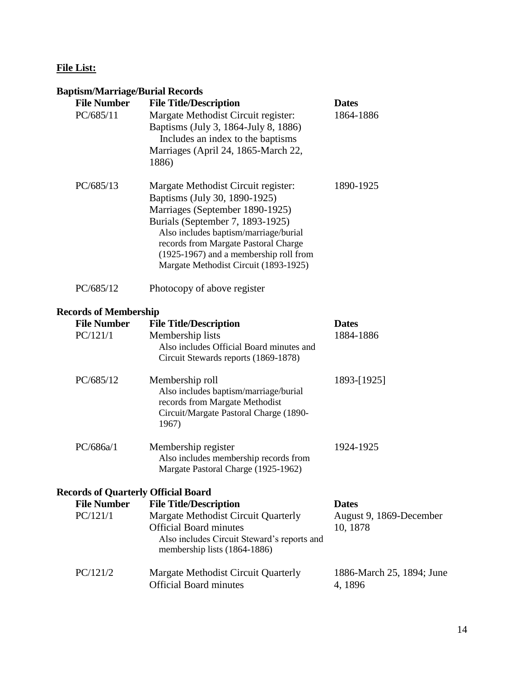## **File List:**

## **Baptism/Marriage/Burial Records**

| <b>File Number</b><br>PC/685/11 | <b>Dupublic Marting of Durian Accords</b><br><b>File Title/Description</b><br>Margate Methodist Circuit register:<br>Baptisms (July 3, 1864-July 8, 1886)<br>Includes an index to the baptisms<br>Marriages (April 24, 1865-March 22,<br>1886)                                                                  | <b>Dates</b><br>1864-1886            |
|---------------------------------|-----------------------------------------------------------------------------------------------------------------------------------------------------------------------------------------------------------------------------------------------------------------------------------------------------------------|--------------------------------------|
| PC/685/13                       | Margate Methodist Circuit register:<br>Baptisms (July 30, 1890-1925)<br>Marriages (September 1890-1925)<br>Burials (September 7, 1893-1925)<br>Also includes baptism/marriage/burial<br>records from Margate Pastoral Charge<br>(1925-1967) and a membership roll from<br>Margate Methodist Circuit (1893-1925) | 1890-1925                            |
| PC/685/12                       | Photocopy of above register                                                                                                                                                                                                                                                                                     |                                      |
| <b>Records of Membership</b>    |                                                                                                                                                                                                                                                                                                                 |                                      |
| <b>File Number</b>              | <b>File Title/Description</b>                                                                                                                                                                                                                                                                                   | <b>Dates</b>                         |
| PC/121/1                        | Membership lists<br>Also includes Official Board minutes and<br>Circuit Stewards reports (1869-1878)                                                                                                                                                                                                            | 1884-1886                            |
| PC/685/12                       | Membership roll<br>Also includes baptism/marriage/burial<br>records from Margate Methodist<br>Circuit/Margate Pastoral Charge (1890-<br>1967)                                                                                                                                                                   | 1893-[1925]                          |
| PC/686a/1                       | Membership register<br>Also includes membership records from<br>Margate Pastoral Charge (1925-1962)                                                                                                                                                                                                             | 1924-1925                            |
|                                 | <b>Records of Quarterly Official Board</b>                                                                                                                                                                                                                                                                      |                                      |
| <b>File Number</b>              | <b>File Title/Description</b>                                                                                                                                                                                                                                                                                   | <b>Dates</b>                         |
| PC/121/1                        | Margate Methodist Circuit Quarterly<br><b>Official Board minutes</b><br>Also includes Circuit Steward's reports and<br>membership lists (1864-1886)                                                                                                                                                             | August 9, 1869-December<br>10, 1878  |
| PC/121/2                        | Margate Methodist Circuit Quarterly<br><b>Official Board minutes</b>                                                                                                                                                                                                                                            | 1886-March 25, 1894; June<br>4, 1896 |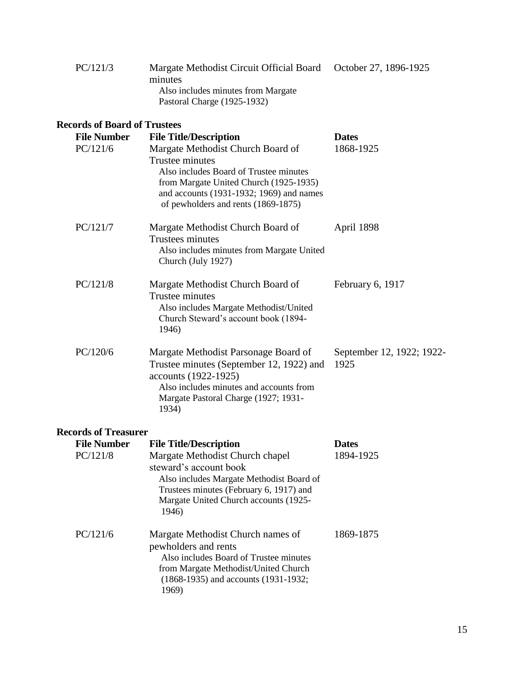| PC/121/3 | Margate Methodist Circuit Official Board October 27, 1896-1925 |  |
|----------|----------------------------------------------------------------|--|
|          | minutes                                                        |  |
|          | Also includes minutes from Margate                             |  |
|          | Pastoral Charge (1925-1932)                                    |  |
|          |                                                                |  |

#### **Records of Board of Trustees File Number File Title/Description Dates** PC/121/6 Margate Methodist Church Board of Trustee minutes Also includes Board of Trustee minutes from Margate United Church (1925-1935) and accounts (1931-1932; 1969) and names of pewholders and rents (1869-1875) 1868-1925 PC/121/7 Margate Methodist Church Board of Trustees minutes Also includes minutes from Margate United Church (July 1927) April 1898 PC/121/8 Margate Methodist Church Board of Trustee minutes Also includes Margate Methodist/United Church Steward's account book (1894- 1946) February 6, 1917 PC/120/6 Margate Methodist Parsonage Board of Trustee minutes (September 12, 1922) and accounts (1922-1925) Also includes minutes and accounts from Margate Pastoral Charge (1927; 1931- 1934) September 12, 1922; 1922- 1925

#### **Records of Treasurer**

| <b>File Number</b> | <b>File Title/Description</b>                                                                                                                                                                      | <b>Dates</b> |
|--------------------|----------------------------------------------------------------------------------------------------------------------------------------------------------------------------------------------------|--------------|
| PC/121/8           | Margate Methodist Church chapel<br>steward's account book<br>Also includes Margate Methodist Board of<br>Trustees minutes (February 6, 1917) and<br>Margate United Church accounts (1925-<br>1946) | 1894-1925    |
| PC/121/6           | Margate Methodist Church names of<br>pewholders and rents<br>Also includes Board of Trustee minutes<br>from Margate Methodist/United Church<br>$(1868-1935)$ and accounts $(1931-1932)$ ;<br>1969) | 1869-1875    |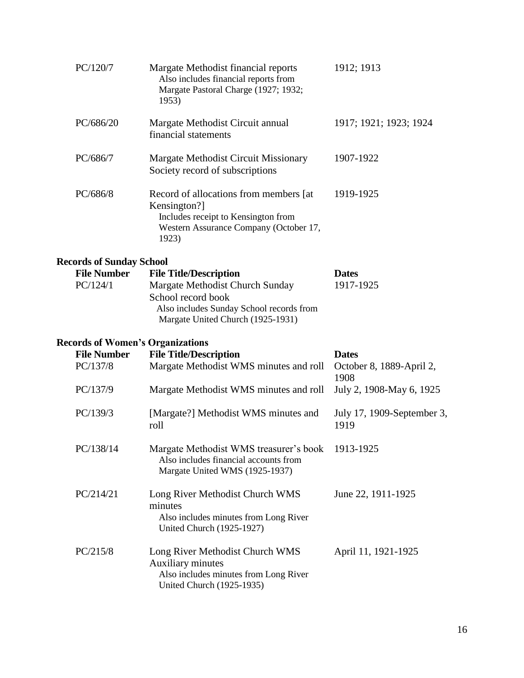| PC/120/7                                | Margate Methodist financial reports<br>Also includes financial reports from<br>Margate Pastoral Charge (1927; 1932;<br>1953)                      | 1912; 1913                         |
|-----------------------------------------|---------------------------------------------------------------------------------------------------------------------------------------------------|------------------------------------|
| PC/686/20                               | Margate Methodist Circuit annual<br>financial statements                                                                                          | 1917; 1921; 1923; 1924             |
| PC/686/7                                | <b>Margate Methodist Circuit Missionary</b><br>Society record of subscriptions                                                                    | 1907-1922                          |
| PC/686/8                                | Record of allocations from members [at]<br>Kensington?]<br>Includes receipt to Kensington from<br>Western Assurance Company (October 17,<br>1923) | 1919-1925                          |
| <b>Records of Sunday School</b>         |                                                                                                                                                   |                                    |
| <b>File Number</b>                      | <b>File Title/Description</b>                                                                                                                     | <b>Dates</b>                       |
| PC/124/1                                | Margate Methodist Church Sunday<br>School record book<br>Also includes Sunday School records from<br>Margate United Church (1925-1931)            | 1917-1925                          |
| <b>Records of Women's Organizations</b> |                                                                                                                                                   |                                    |
| <b>File Number</b>                      | <b>File Title/Description</b>                                                                                                                     | <b>Dates</b>                       |
| PC/137/8                                | Margate Methodist WMS minutes and roll                                                                                                            | October 8, 1889-April 2,<br>1908   |
| PC/137/9                                | Margate Methodist WMS minutes and roll                                                                                                            | July 2, 1908-May 6, 1925           |
| PC/139/3                                | [Margate?] Methodist WMS minutes and<br>roll                                                                                                      | July 17, 1909-September 3,<br>1919 |
| PC/138/14                               | Margate Methodist WMS treasurer's book<br>Also includes financial accounts from<br>Margate United WMS (1925-1937)                                 | 1913-1925                          |
| PC/214/21                               | Long River Methodist Church WMS<br>minutes<br>Also includes minutes from Long River<br>United Church (1925-1927)                                  | June 22, 1911-1925                 |
| PC/215/8                                | Long River Methodist Church WMS<br><b>Auxiliary minutes</b><br>Also includes minutes from Long River<br><b>United Church (1925-1935)</b>          | April 11, 1921-1925                |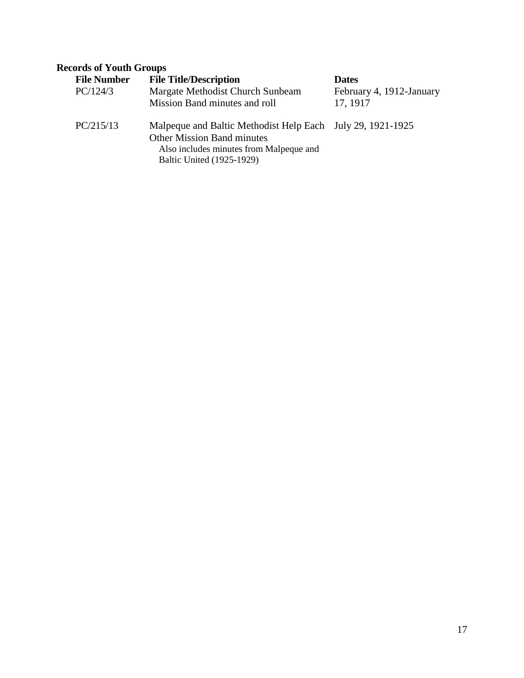## **Records of Youth Groups**

| <b>File Number</b><br>PC/124/3 | <b>File Title/Description</b><br>Margate Methodist Church Sunbeam<br>Mission Band minutes and roll                                                                      | <b>Dates</b><br>February 4, 1912-January<br>17, 1917 |
|--------------------------------|-------------------------------------------------------------------------------------------------------------------------------------------------------------------------|------------------------------------------------------|
| PC/215/13                      | Malpeque and Baltic Methodist Help Each July 29, 1921-1925<br><b>Other Mission Band minutes</b><br>Also includes minutes from Malpeque and<br>Baltic United (1925-1929) |                                                      |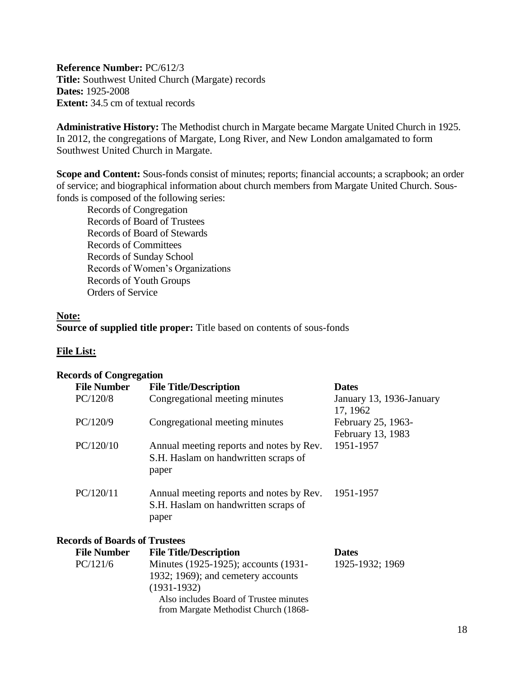<span id="page-17-0"></span>**Reference Number:** PC/612/3 **Title:** Southwest United Church (Margate) records **Dates:** 1925-2008 **Extent:** 34.5 cm of textual records

**Administrative History:** The Methodist church in Margate became Margate United Church in 1925. In 2012, the congregations of Margate, Long River, and New London amalgamated to form Southwest United Church in Margate.

**Scope and Content:** Sous-fonds consist of minutes; reports; financial accounts; a scrapbook; an order of service; and biographical information about church members from Margate United Church. Sousfonds is composed of the following series:

Records of Congregation Records of Board of Trustees Records of Board of Stewards Records of Committees Records of Sunday School Records of Women's Organizations Records of Youth Groups Orders of Service

#### **Note:**

**Source of supplied title proper:** Title based on contents of sous-fonds

#### **File List:**

#### **Records of Congregation**

| <b>File Number</b>                   | <b>File Title/Description</b>                                                             | <b>Dates</b>                         |
|--------------------------------------|-------------------------------------------------------------------------------------------|--------------------------------------|
| PC/120/8                             | Congregational meeting minutes                                                            | January 13, 1936-January<br>17, 1962 |
| PC/120/9                             | Congregational meeting minutes                                                            | February 25, 1963-                   |
|                                      |                                                                                           | February 13, 1983                    |
| PC/120/10                            | Annual meeting reports and notes by Rev.<br>S.H. Haslam on handwritten scraps of<br>paper | 1951-1957                            |
| PC/120/11                            | Annual meeting reports and notes by Rev.<br>S.H. Haslam on handwritten scraps of<br>paper | 1951-1957                            |
| <b>Records of Boards of Trustees</b> |                                                                                           |                                      |

| <b>File Number</b> | <b>File Title/Description</b>          | <b>Dates</b>    |
|--------------------|----------------------------------------|-----------------|
| PC/121/6           | Minutes (1925-1925); accounts (1931-   | 1925-1932; 1969 |
|                    | 1932; 1969); and cemetery accounts     |                 |
|                    | $(1931-1932)$                          |                 |
|                    | Also includes Board of Trustee minutes |                 |
|                    | from Margate Methodist Church (1868-   |                 |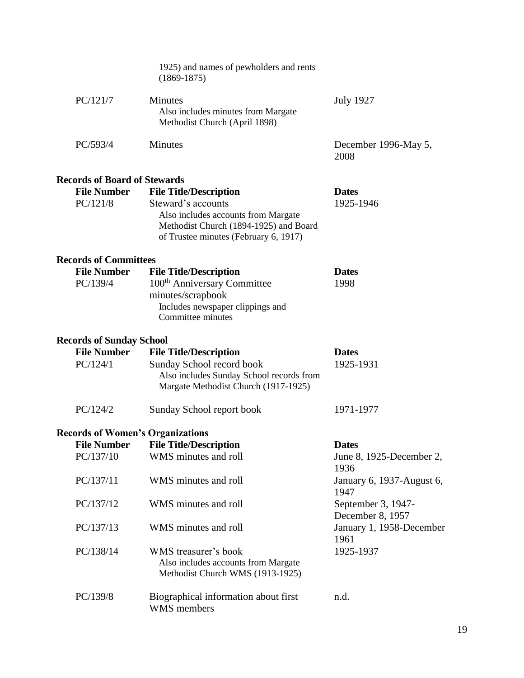|                                         | 1925) and names of pewholders and rents<br>$(1869-1875)$                                                                                     |                                        |  |  |  |
|-----------------------------------------|----------------------------------------------------------------------------------------------------------------------------------------------|----------------------------------------|--|--|--|
| PC/121/7                                | <b>Minutes</b><br>Also includes minutes from Margate<br>Methodist Church (April 1898)                                                        | <b>July 1927</b>                       |  |  |  |
| PC/593/4                                | Minutes                                                                                                                                      | December 1996-May 5,<br>2008           |  |  |  |
| <b>Records of Board of Stewards</b>     |                                                                                                                                              |                                        |  |  |  |
| <b>File Number</b>                      | <b>File Title/Description</b>                                                                                                                | <b>Dates</b>                           |  |  |  |
| PC/121/8                                | Steward's accounts<br>Also includes accounts from Margate<br>Methodist Church (1894-1925) and Board<br>of Trustee minutes (February 6, 1917) | 1925-1946                              |  |  |  |
| <b>Records of Committees</b>            |                                                                                                                                              |                                        |  |  |  |
| <b>File Number</b>                      | <b>File Title/Description</b>                                                                                                                | <b>Dates</b>                           |  |  |  |
| PC/139/4                                | 100 <sup>th</sup> Anniversary Committee                                                                                                      | 1998                                   |  |  |  |
|                                         | minutes/scrapbook<br>Includes newspaper clippings and<br>Committee minutes                                                                   |                                        |  |  |  |
|                                         | <b>Records of Sunday School</b>                                                                                                              |                                        |  |  |  |
| <b>File Number</b>                      | <b>File Title/Description</b>                                                                                                                | <b>Dates</b>                           |  |  |  |
| PC/124/1                                | Sunday School record book<br>Also includes Sunday School records from<br>Margate Methodist Church (1917-1925)                                | 1925-1931                              |  |  |  |
| PC/124/2                                | Sunday School report book                                                                                                                    | 1971-1977                              |  |  |  |
| <b>Records of Women's Organizations</b> |                                                                                                                                              |                                        |  |  |  |
| <b>File Number</b>                      | <b>File Title/Description</b>                                                                                                                | <b>Dates</b>                           |  |  |  |
| PC/137/10                               | WMS minutes and roll                                                                                                                         | June 8, 1925-December 2,<br>1936       |  |  |  |
| PC/137/11                               | WMS minutes and roll                                                                                                                         | January 6, 1937-August 6,<br>1947      |  |  |  |
| PC/137/12                               | WMS minutes and roll                                                                                                                         | September 3, 1947-<br>December 8, 1957 |  |  |  |
| PC/137/13                               | WMS minutes and roll                                                                                                                         | January 1, 1958-December<br>1961       |  |  |  |
| PC/138/14                               | WMS treasurer's book<br>Also includes accounts from Margate<br>Methodist Church WMS (1913-1925)                                              | 1925-1937                              |  |  |  |
| PC/139/8                                | Biographical information about first<br><b>WMS</b> members                                                                                   | n.d.                                   |  |  |  |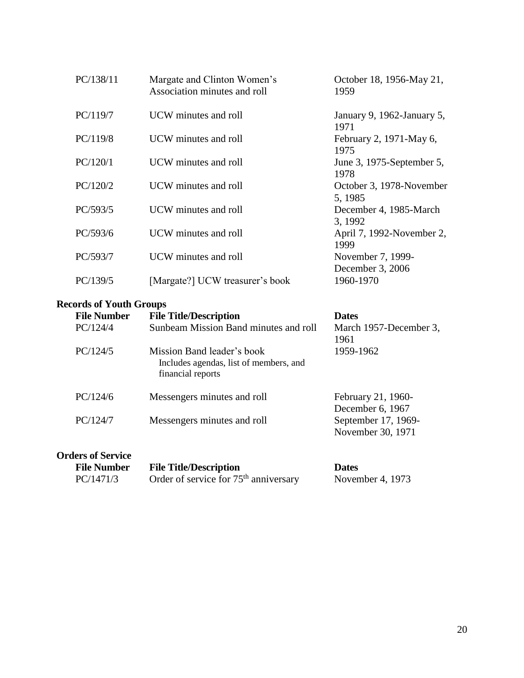| PC/138/11 | Margate and Clinton Women's<br>Association minutes and roll | October 18, 1956-May 21,<br>1959      |
|-----------|-------------------------------------------------------------|---------------------------------------|
| PC/119/7  | UCW minutes and roll                                        | January 9, 1962-January 5,<br>1971    |
| PC/119/8  | UCW minutes and roll                                        | February 2, 1971-May 6,<br>1975       |
| PC/120/1  | UCW minutes and roll                                        | June 3, 1975-September 5,<br>1978     |
| PC/120/2  | UCW minutes and roll                                        | October 3, 1978-November<br>5, 1985   |
| PC/593/5  | UCW minutes and roll                                        | December 4, 1985-March<br>3, 1992     |
| PC/593/6  | UCW minutes and roll                                        | April 7, 1992-November 2,<br>1999     |
| PC/593/7  | UCW minutes and roll                                        | November 7, 1999-<br>December 3, 2006 |
| PC/139/5  | [Margate?] UCW treasurer's book                             | 1960-1970                             |

## **Records of Youth Groups**

| <b>File Number</b>       | <b>File Title/Description</b>                                                             | <b>Dates</b>                             |
|--------------------------|-------------------------------------------------------------------------------------------|------------------------------------------|
| PC/124/4                 | Sunbeam Mission Band minutes and roll                                                     | March 1957-December 3,<br>1961           |
| PC/124/5                 | Mission Band leader's book<br>Includes agendas, list of members, and<br>financial reports | 1959-1962                                |
| PC/124/6                 | Messengers minutes and roll                                                               | February 21, 1960-<br>December 6, 1967   |
| PC/124/7                 | Messengers minutes and roll                                                               | September 17, 1969-<br>November 30, 1971 |
| <b>Orders of Service</b> |                                                                                           |                                          |

| <b>File Number</b> | <b>File Title/Description</b>           | <b>Dates</b>     |
|--------------------|-----------------------------------------|------------------|
| PC/1471/3          | Order of service for $75th$ anniversary | November 4, 1973 |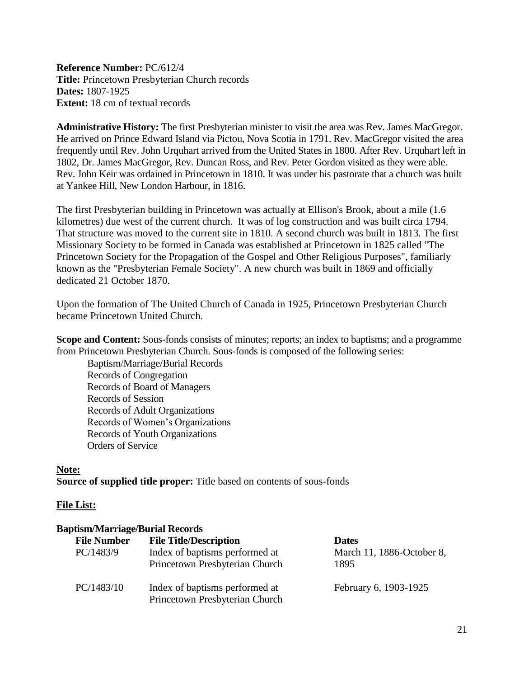<span id="page-20-0"></span>**Reference Number:** PC/612/4 **Title:** Princetown Presbyterian Church records **Dates:** 1807-1925 **Extent:** 18 cm of textual records

**Administrative History:** The first Presbyterian minister to visit the area was Rev. James MacGregor. He arrived on Prince Edward Island via Pictou, Nova Scotia in 1791. Rev. MacGregor visited the area frequently until Rev. John Urquhart arrived from the United States in 1800. After Rev. Urquhart left in 1802, Dr. James MacGregor, Rev. Duncan Ross, and Rev. Peter Gordon visited as they were able. Rev. John Keir was ordained in Princetown in 1810. It was under his pastorate that a church was built at Yankee Hill, New London Harbour, in 1816.

The first Presbyterian building in Princetown was actually at Ellison's Brook, about a mile (1.6 kilometres) due west of the current church. It was of log construction and was built circa 1794. That structure was moved to the current site in 1810. A second church was built in 1813. The first Missionary Society to be formed in Canada was established at Princetown in 1825 called "The Princetown Society for the Propagation of the Gospel and Other Religious Purposes", familiarly known as the "Presbyterian Female Society". A new church was built in 1869 and officially dedicated 21 October 1870.

Upon the formation of The United Church of Canada in 1925, Princetown Presbyterian Church became Princetown United Church.

**Scope and Content:** Sous-fonds consists of minutes; reports; an index to baptisms; and a programme from Princetown Presbyterian Church. Sous-fonds is composed of the following series:

Baptism/Marriage/Burial Records Records of Congregation Records of Board of Managers Records of Session Records of Adult Organizations Records of Women's Organizations Records of Youth Organizations Orders of Service

#### **Note:**

**Source of supplied title proper:** Title based on contents of sous-fonds

#### **File List:**

#### **Baptism/Marriage/Burial Records**

| <b>File Number</b> | <b>File Title/Description</b>                                    | <b>Dates</b>              |
|--------------------|------------------------------------------------------------------|---------------------------|
| PC/1483/9          | Index of baptisms performed at                                   | March 11, 1886-October 8, |
|                    | Princetown Presbyterian Church                                   | 1895                      |
| PC/1483/10         | Index of baptisms performed at<br>Princetown Presbyterian Church | February 6, 1903-1925     |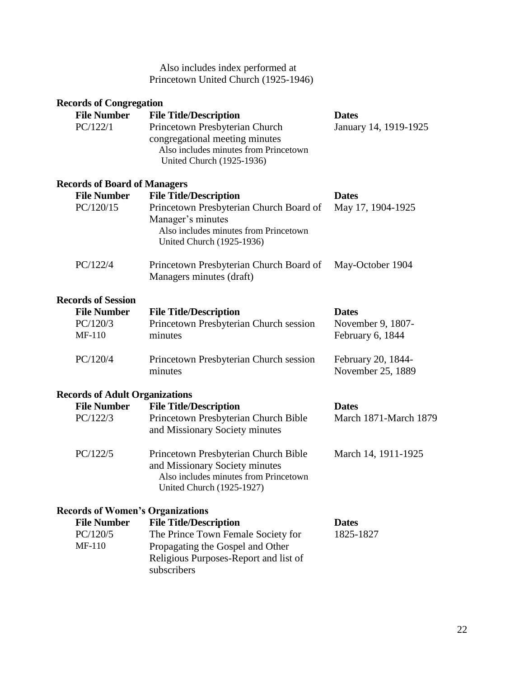#### Also includes index performed at Princetown United Church (1925-1946)

| <b>Records of Congregation</b>          |                                                                                                                                                     |                                         |
|-----------------------------------------|-----------------------------------------------------------------------------------------------------------------------------------------------------|-----------------------------------------|
| <b>File Number</b>                      | <b>File Title/Description</b>                                                                                                                       | <b>Dates</b>                            |
| PC/122/1                                | Princetown Presbyterian Church<br>congregational meeting minutes<br>Also includes minutes from Princetown<br>United Church (1925-1936)              | January 14, 1919-1925                   |
| <b>Records of Board of Managers</b>     |                                                                                                                                                     |                                         |
| <b>File Number</b>                      | <b>File Title/Description</b>                                                                                                                       | <b>Dates</b>                            |
| PC/120/15                               | Princetown Presbyterian Church Board of<br>Manager's minutes<br>Also includes minutes from Princetown<br>United Church (1925-1936)                  | May 17, 1904-1925                       |
| PC/122/4                                | Princetown Presbyterian Church Board of<br>Managers minutes (draft)                                                                                 | May-October 1904                        |
| <b>Records of Session</b>               |                                                                                                                                                     |                                         |
| <b>File Number</b>                      | <b>File Title/Description</b>                                                                                                                       | <b>Dates</b>                            |
| PC/120/3<br><b>MF-110</b>               | Princetown Presbyterian Church session<br>minutes                                                                                                   | November 9, 1807-<br>February 6, 1844   |
| PC/120/4                                | Princetown Presbyterian Church session<br>minutes                                                                                                   | February 20, 1844-<br>November 25, 1889 |
| <b>Records of Adult Organizations</b>   |                                                                                                                                                     |                                         |
| <b>File Number</b>                      | <b>File Title/Description</b>                                                                                                                       | <b>Dates</b>                            |
| PC/122/3                                | Princetown Presbyterian Church Bible<br>and Missionary Society minutes                                                                              | March 1871-March 1879                   |
| PC/122/5                                | Princetown Presbyterian Church Bible<br>and Missionary Society minutes<br>Also includes minutes from Princetown<br><b>United Church (1925-1927)</b> | March 14, 1911-1925                     |
| <b>Records of Women's Organizations</b> |                                                                                                                                                     |                                         |
| <b>File Number</b>                      | <b>File Title/Description</b>                                                                                                                       | <b>Dates</b>                            |
| PC/120/5                                | The Prince Town Female Society for                                                                                                                  | 1825-1827                               |
| <b>MF-110</b>                           | Propagating the Gospel and Other<br>Religious Purposes-Report and list of<br>subscribers                                                            |                                         |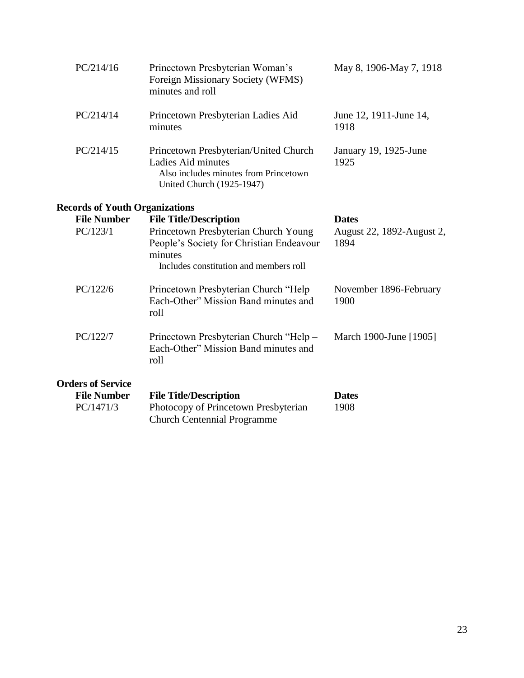| PC/214/16                             | Princetown Presbyterian Woman's<br>Foreign Missionary Society (WFMS)<br>minutes and roll                                                 | May 8, 1906-May 7, 1918           |
|---------------------------------------|------------------------------------------------------------------------------------------------------------------------------------------|-----------------------------------|
| PC/214/14                             | Princetown Presbyterian Ladies Aid<br>minutes                                                                                            | June 12, 1911-June 14,<br>1918    |
| PC/214/15                             | Princetown Presbyterian/United Church<br>Ladies Aid minutes<br>Also includes minutes from Princetown<br><b>United Church (1925-1947)</b> | January 19, 1925-June<br>1925     |
| <b>Records of Youth Organizations</b> |                                                                                                                                          |                                   |
| <b>File Number</b>                    | <b>File Title/Description</b>                                                                                                            | <b>Dates</b>                      |
| PC/123/1                              | Princetown Presbyterian Church Young<br>People's Society for Christian Endeavour<br>minutes<br>Includes constitution and members roll    | August 22, 1892-August 2,<br>1894 |
| PC/122/6                              | Princetown Presbyterian Church "Help -<br>Each-Other" Mission Band minutes and<br>roll                                                   | November 1896-February<br>1900    |
| PC/122/7                              | Princetown Presbyterian Church "Help -<br>Each-Other" Mission Band minutes and<br>roll                                                   | March 1900-June [1905]            |
| <b>Orders of Service</b>              |                                                                                                                                          |                                   |
| <b>File Number</b><br>PC/1471/3       | <b>File Title/Description</b><br>Photocopy of Princetown Presbyterian<br><b>Church Centennial Programme</b>                              | <b>Dates</b><br>1908              |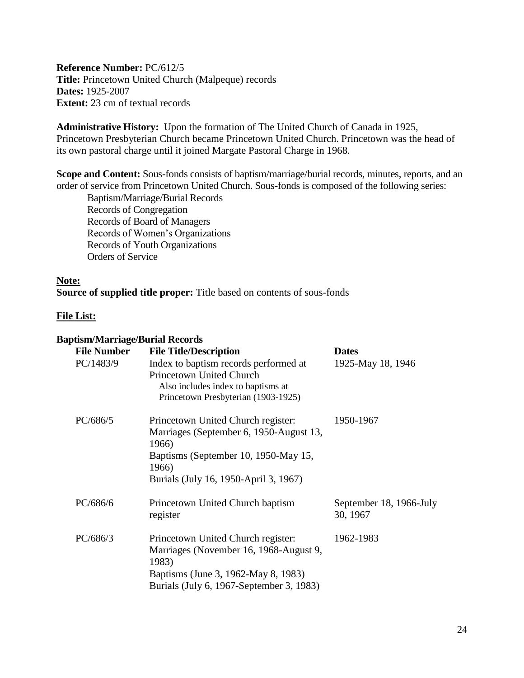<span id="page-23-0"></span>**Reference Number:** PC/612/5 **Title:** Princetown United Church (Malpeque) records **Dates:** 1925-2007 **Extent:** 23 cm of textual records

**Administrative History:** Upon the formation of The United Church of Canada in 1925, Princetown Presbyterian Church became Princetown United Church. Princetown was the head of its own pastoral charge until it joined Margate Pastoral Charge in 1968.

**Scope and Content:** Sous-fonds consists of baptism/marriage/burial records, minutes, reports, and an order of service from Princetown United Church. Sous-fonds is composed of the following series:

Baptism/Marriage/Burial Records Records of Congregation Records of Board of Managers Records of Women's Organizations Records of Youth Organizations Orders of Service

#### **Note:**

**Source of supplied title proper:** Title based on contents of sous-fonds

#### **File List:**

#### **Baptism/Marriage/Burial Records**

| <b>File Number</b> | <b>File Title/Description</b>                                                                                                                                                    | <b>Dates</b>                        |
|--------------------|----------------------------------------------------------------------------------------------------------------------------------------------------------------------------------|-------------------------------------|
| PC/1483/9          | Index to baptism records performed at<br><b>Princetown United Church</b><br>Also includes index to baptisms at<br>Princetown Presbyterian (1903-1925)                            | 1925-May 18, 1946                   |
| PC/686/5           | Princetown United Church register:<br>Marriages (September 6, 1950-August 13,<br>1966)<br>Baptisms (September 10, 1950-May 15,<br>1966)<br>Burials (July 16, 1950-April 3, 1967) | 1950-1967                           |
| PC/686/6           | Princetown United Church baptism<br>register                                                                                                                                     | September 18, 1966-July<br>30, 1967 |
| PC/686/3           | Princetown United Church register:<br>Marriages (November 16, 1968-August 9,<br>1983)<br>Baptisms (June 3, 1962-May 8, 1983)<br>Burials (July 6, 1967-September 3, 1983)         | 1962-1983                           |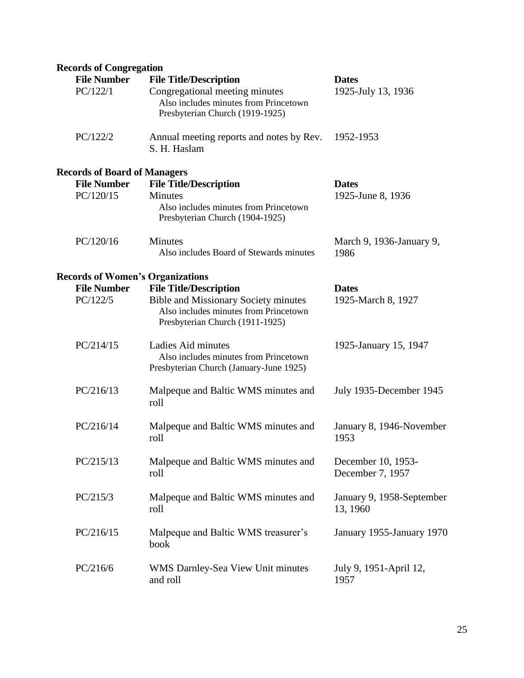| <b>Records of Congregation</b>          |                                                                                                                                                          |                                        |
|-----------------------------------------|----------------------------------------------------------------------------------------------------------------------------------------------------------|----------------------------------------|
| <b>File Number</b><br>PC/122/1          | <b>File Title/Description</b><br>Congregational meeting minutes<br>Also includes minutes from Princetown<br>Presbyterian Church (1919-1925)              | <b>Dates</b><br>1925-July 13, 1936     |
| PC/122/2                                | Annual meeting reports and notes by Rev.<br>S. H. Haslam                                                                                                 | 1952-1953                              |
| <b>Records of Board of Managers</b>     |                                                                                                                                                          |                                        |
| <b>File Number</b>                      | <b>File Title/Description</b>                                                                                                                            | <b>Dates</b>                           |
| PC/120/15                               | <b>Minutes</b><br>Also includes minutes from Princetown<br>Presbyterian Church (1904-1925)                                                               | 1925-June 8, 1936                      |
| PC/120/16                               | Minutes<br>Also includes Board of Stewards minutes                                                                                                       | March 9, 1936-January 9,<br>1986       |
| <b>Records of Women's Organizations</b> |                                                                                                                                                          |                                        |
| <b>File Number</b><br>PC/122/5          | <b>File Title/Description</b><br><b>Bible and Missionary Society minutes</b><br>Also includes minutes from Princetown<br>Presbyterian Church (1911-1925) | <b>Dates</b><br>1925-March 8, 1927     |
| PC/214/15                               | Ladies Aid minutes<br>Also includes minutes from Princetown<br>Presbyterian Church (January-June 1925)                                                   | 1925-January 15, 1947                  |
| PC/216/13                               | Malpeque and Baltic WMS minutes and<br>roll                                                                                                              | July 1935-December 1945                |
| PC/216/14                               | Malpeque and Baltic WMS minutes and<br>roll                                                                                                              | January 8, 1946-November<br>1953       |
| PC/215/13                               | Malpeque and Baltic WMS minutes and<br>roll                                                                                                              | December 10, 1953-<br>December 7, 1957 |
| PC/215/3                                | Malpeque and Baltic WMS minutes and<br>roll                                                                                                              | January 9, 1958-September<br>13, 1960  |
| PC/216/15                               | Malpeque and Baltic WMS treasurer's<br>book                                                                                                              | January 1955-January 1970              |
| PC/216/6                                | WMS Darnley-Sea View Unit minutes<br>and roll                                                                                                            | July 9, 1951-April 12,<br>1957         |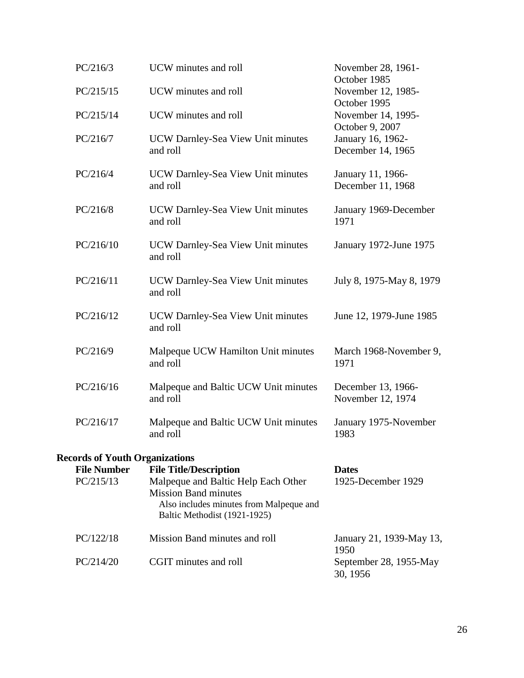| PC/216/3                              | UCW minutes and roll                                                                                                                          | November 28, 1961-<br>October 1985                        |  |
|---------------------------------------|-----------------------------------------------------------------------------------------------------------------------------------------------|-----------------------------------------------------------|--|
| PC/215/15                             | UCW minutes and roll                                                                                                                          | November 12, 1985-<br>October 1995                        |  |
| PC/215/14                             | UCW minutes and roll                                                                                                                          | November 14, 1995-                                        |  |
| PC/216/7                              | UCW Darnley-Sea View Unit minutes<br>and roll                                                                                                 | October 9, 2007<br>January 16, 1962-<br>December 14, 1965 |  |
| PC/216/4                              | UCW Darnley-Sea View Unit minutes<br>and roll                                                                                                 | January 11, 1966-<br>December 11, 1968                    |  |
| PC/216/8                              | UCW Darnley-Sea View Unit minutes<br>and roll                                                                                                 | January 1969-December<br>1971                             |  |
| PC/216/10                             | UCW Darnley-Sea View Unit minutes<br>and roll                                                                                                 | January 1972-June 1975                                    |  |
| PC/216/11                             | UCW Darnley-Sea View Unit minutes<br>and roll                                                                                                 | July 8, 1975-May 8, 1979                                  |  |
| PC/216/12                             | UCW Darnley-Sea View Unit minutes<br>and roll                                                                                                 | June 12, 1979-June 1985                                   |  |
| PC/216/9                              | Malpeque UCW Hamilton Unit minutes<br>and roll                                                                                                | March 1968-November 9,<br>1971                            |  |
| PC/216/16                             | Malpeque and Baltic UCW Unit minutes<br>and roll                                                                                              | December 13, 1966-<br>November 12, 1974                   |  |
| PC/216/17                             | Malpeque and Baltic UCW Unit minutes<br>and roll                                                                                              | January 1975-November<br>1983                             |  |
| <b>Records of Youth Organizations</b> |                                                                                                                                               |                                                           |  |
| <b>File Number</b>                    | <b>File Title/Description</b>                                                                                                                 | <b>Dates</b>                                              |  |
| PC/215/13                             | Malpeque and Baltic Help Each Other<br><b>Mission Band minutes</b><br>Also includes minutes from Malpeque and<br>Baltic Methodist (1921-1925) | 1925-December 1929                                        |  |
| PC/122/18                             | Mission Band minutes and roll                                                                                                                 | January 21, 1939-May 13,<br>1950                          |  |
| PC/214/20                             | CGIT minutes and roll                                                                                                                         | September 28, 1955-May<br>30, 1956                        |  |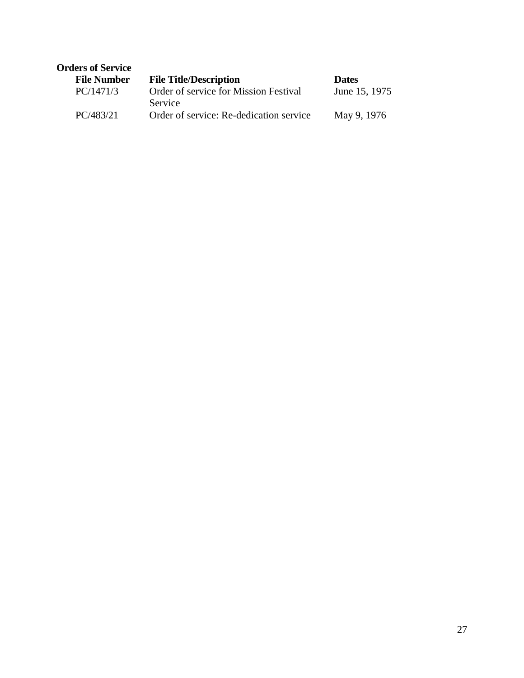| <b>Orders of Service</b> |                                         |               |
|--------------------------|-----------------------------------------|---------------|
| <b>File Number</b>       | <b>File Title/Description</b>           | <b>Dates</b>  |
| PC/1471/3                | Order of service for Mission Festival   | June 15, 1975 |
|                          | Service                                 |               |
| PC/483/21                | Order of service: Re-dedication service | May 9, 1976   |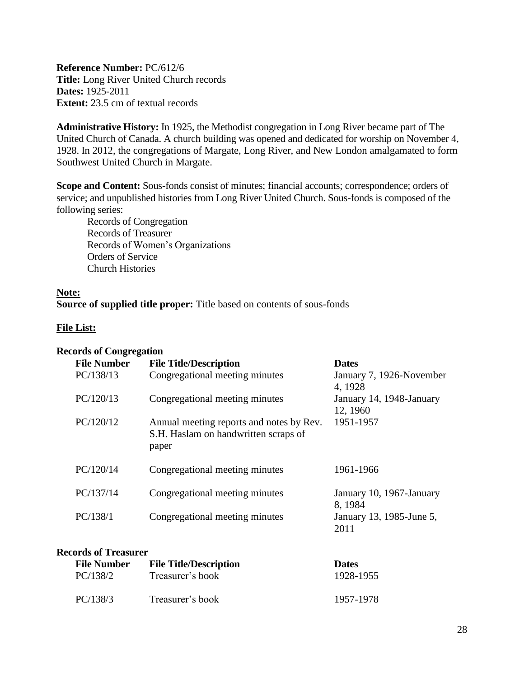<span id="page-27-0"></span>**Reference Number:** PC/612/6 **Title:** Long River United Church records **Dates:** 1925-2011 **Extent:** 23.5 cm of textual records

**Administrative History:** In 1925, the Methodist congregation in Long River became part of The United Church of Canada. A church building was opened and dedicated for worship on November 4, 1928. In 2012, the congregations of Margate, Long River, and New London amalgamated to form Southwest United Church in Margate.

**Scope and Content:** Sous-fonds consist of minutes; financial accounts; correspondence; orders of service; and unpublished histories from Long River United Church. Sous-fonds is composed of the following series:

Records of Congregation Records of Treasurer Records of Women's Organizations Orders of Service Church Histories

#### **Note:**

**Source of supplied title proper:** Title based on contents of sous-fonds

#### **File List:**

| <b>Records of Congregation</b>                                                            |                                      |
|-------------------------------------------------------------------------------------------|--------------------------------------|
| <b>File Title/Description</b>                                                             | <b>Dates</b>                         |
| Congregational meeting minutes                                                            | January 7, 1926-November<br>4, 1928  |
| Congregational meeting minutes                                                            | January 14, 1948-January<br>12, 1960 |
| Annual meeting reports and notes by Rev.<br>S.H. Haslam on handwritten scraps of<br>paper | 1951-1957                            |
| Congregational meeting minutes                                                            | 1961-1966                            |
| Congregational meeting minutes                                                            | January 10, 1967-January<br>8, 1984  |
| Congregational meeting minutes                                                            | January 13, 1985-June 5,<br>2011     |
|                                                                                           |                                      |

## **Records of Treasurer**

| <b>File Number</b> | <b>File Title/Description</b> | <b>Dates</b> |
|--------------------|-------------------------------|--------------|
| PC/138/2           | Treasurer's book              | 1928-1955    |
| PC/138/3           | Treasurer's book              | 1957-1978    |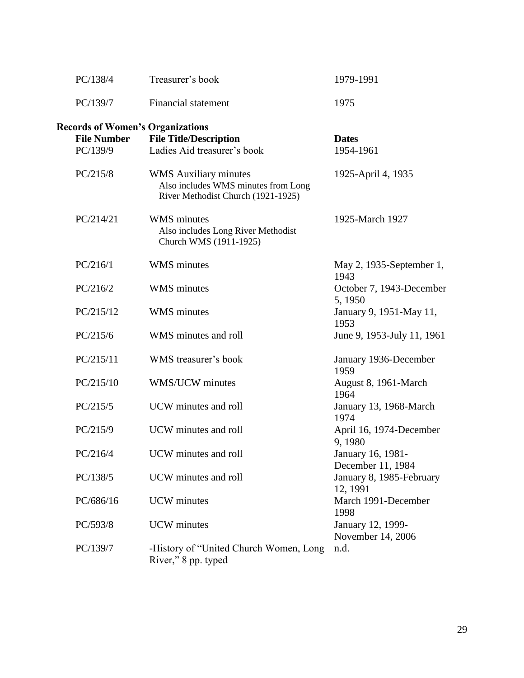| PC/138/4                                | Treasurer's book                                                                                          | 1979-1991                              |
|-----------------------------------------|-----------------------------------------------------------------------------------------------------------|----------------------------------------|
| PC/139/7                                | <b>Financial statement</b>                                                                                | 1975                                   |
| <b>Records of Women's Organizations</b> |                                                                                                           |                                        |
| <b>File Number</b>                      | <b>File Title/Description</b>                                                                             | <b>Dates</b>                           |
| PC/139/9                                | Ladies Aid treasurer's book                                                                               | 1954-1961                              |
| PC/215/8                                | <b>WMS</b> Auxiliary minutes<br>Also includes WMS minutes from Long<br>River Methodist Church (1921-1925) | 1925-April 4, 1935                     |
| PC/214/21                               | <b>WMS</b> minutes<br>Also includes Long River Methodist<br>Church WMS (1911-1925)                        | 1925-March 1927                        |
| PC/216/1                                | <b>WMS</b> minutes                                                                                        | May 2, 1935-September 1,<br>1943       |
| PC/216/2                                | <b>WMS</b> minutes                                                                                        | October 7, 1943-December<br>5, 1950    |
| PC/215/12                               | <b>WMS</b> minutes                                                                                        | January 9, 1951-May 11,<br>1953        |
| PC/215/6                                | WMS minutes and roll                                                                                      | June 9, 1953-July 11, 1961             |
| PC/215/11                               | WMS treasurer's book                                                                                      | January 1936-December<br>1959          |
| PC/215/10                               | WMS/UCW minutes                                                                                           | August 8, 1961-March<br>1964           |
| PC/215/5                                | UCW minutes and roll                                                                                      | January 13, 1968-March<br>1974         |
| PC/215/9                                | UCW minutes and roll                                                                                      | April 16, 1974-December<br>9,1980      |
| PC/216/4                                | UCW minutes and roll                                                                                      | January 16, 1981-<br>December 11, 1984 |
| PC/138/5                                | UCW minutes and roll                                                                                      | January 8, 1985-February<br>12, 1991   |
| PC/686/16                               | <b>UCW</b> minutes                                                                                        | March 1991-December<br>1998            |
| PC/593/8                                | <b>UCW</b> minutes                                                                                        | January 12, 1999-<br>November 14, 2006 |
| PC/139/7                                | -History of "United Church Women, Long<br>River," 8 pp. typed                                             | n.d.                                   |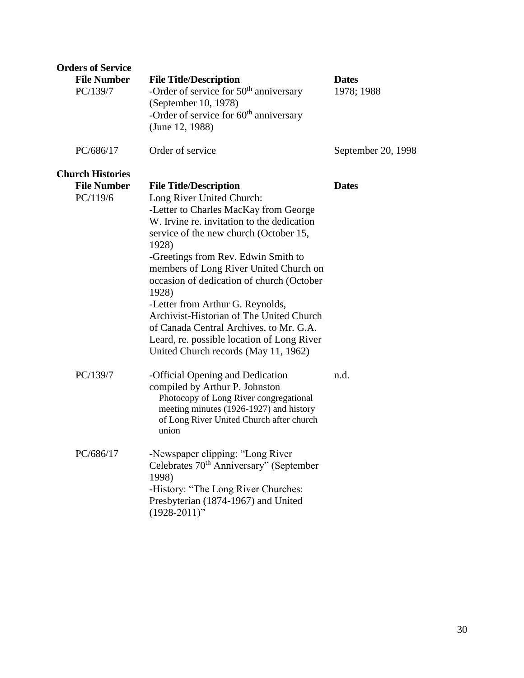| <b>Orders of Service</b><br><b>File Number</b><br>PC/139/7 | <b>File Title/Description</b><br>-Order of service for $50th$ anniversary<br>(September 10, 1978)<br>-Order of service for $60th$ anniversary<br>(June 12, 1988)                                                                                                                                                                                                                                                                                                                                                                                             | <b>Dates</b><br>1978; 1988 |
|------------------------------------------------------------|--------------------------------------------------------------------------------------------------------------------------------------------------------------------------------------------------------------------------------------------------------------------------------------------------------------------------------------------------------------------------------------------------------------------------------------------------------------------------------------------------------------------------------------------------------------|----------------------------|
| PC/686/17                                                  | Order of service                                                                                                                                                                                                                                                                                                                                                                                                                                                                                                                                             | September 20, 1998         |
| <b>Church Histories</b><br><b>File Number</b><br>PC/119/6  | <b>File Title/Description</b><br>Long River United Church:<br>-Letter to Charles MacKay from George<br>W. Irvine re. invitation to the dedication<br>service of the new church (October 15,<br>1928)<br>-Greetings from Rev. Edwin Smith to<br>members of Long River United Church on<br>occasion of dedication of church (October<br>1928)<br>-Letter from Arthur G. Reynolds,<br>Archivist-Historian of The United Church<br>of Canada Central Archives, to Mr. G.A.<br>Leard, re. possible location of Long River<br>United Church records (May 11, 1962) | <b>Dates</b>               |
| PC/139/7                                                   | -Official Opening and Dedication<br>compiled by Arthur P. Johnston<br>Photocopy of Long River congregational<br>meeting minutes (1926-1927) and history<br>of Long River United Church after church<br>union                                                                                                                                                                                                                                                                                                                                                 | n.d.                       |
| PC/686/17                                                  | -Newspaper clipping: "Long River<br>Celebrates 70 <sup>th</sup> Anniversary" (September<br>1998)<br>-History: "The Long River Churches:<br>Presbyterian (1874-1967) and United<br>$(1928-2011)$ "                                                                                                                                                                                                                                                                                                                                                            |                            |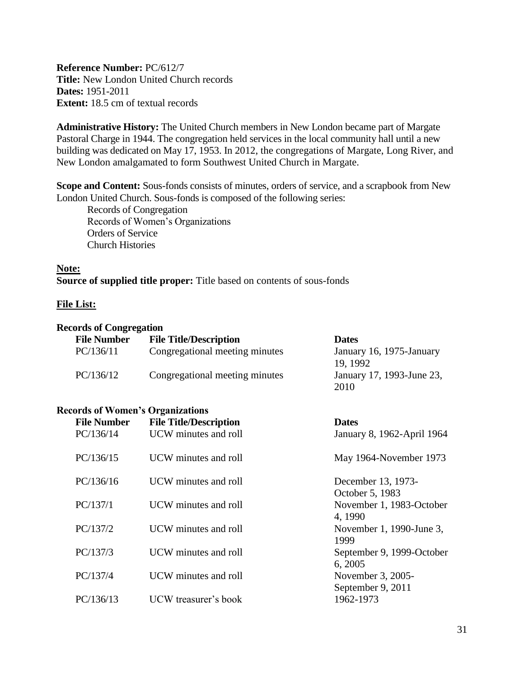<span id="page-30-0"></span>**Reference Number:** PC/612/7 **Title:** New London United Church records **Dates:** 1951-2011 **Extent:** 18.5 cm of textual records

**Administrative History:** The United Church members in New London became part of Margate Pastoral Charge in 1944. The congregation held services in the local community hall until a new building was dedicated on May 17, 1953. In 2012, the congregations of Margate, Long River, and New London amalgamated to form Southwest United Church in Margate.

**Scope and Content:** Sous-fonds consists of minutes, orders of service, and a scrapbook from New London United Church. Sous-fonds is composed of the following series:

Records of Congregation Records of Women's Organizations Orders of Service Church Histories

**Note: Source of supplied title proper:** Title based on contents of sous-fonds

#### **File List:**

#### **Records of Congregation**

| <b>File Number</b> | <b>File Title/Description</b>  | <b>Dates</b>                         |
|--------------------|--------------------------------|--------------------------------------|
| PC/136/11          | Congregational meeting minutes | January 16, 1975-January<br>19, 1992 |
| PC/136/12          | Congregational meeting minutes | January 17, 1993-June 23,<br>2010    |

#### **Records of Women's Organizations**

| <b>File Number</b><br>PC/136/14 | <b>File Title/Description</b><br>UCW minutes and roll | <b>Dates</b><br>January 8, 1962-April 1964 |
|---------------------------------|-------------------------------------------------------|--------------------------------------------|
| PC/136/15                       | UCW minutes and roll                                  | May 1964-November 1973                     |
| PC/136/16                       | UCW minutes and roll                                  | December 13, 1973-<br>October 5, 1983      |
| PC/137/1                        | UCW minutes and roll                                  | November 1, 1983-October<br>4, 1990        |
| PC/137/2                        | UCW minutes and roll                                  | November 1, 1990-June 3,<br>1999           |
| PC/137/3                        | UCW minutes and roll                                  | September 9, 1999-October<br>6, 2005       |
| PC/137/4                        | UCW minutes and roll                                  | November 3, 2005-<br>September 9, 2011     |
| PC/136/13                       | UCW treasurer's book                                  | 1962-1973                                  |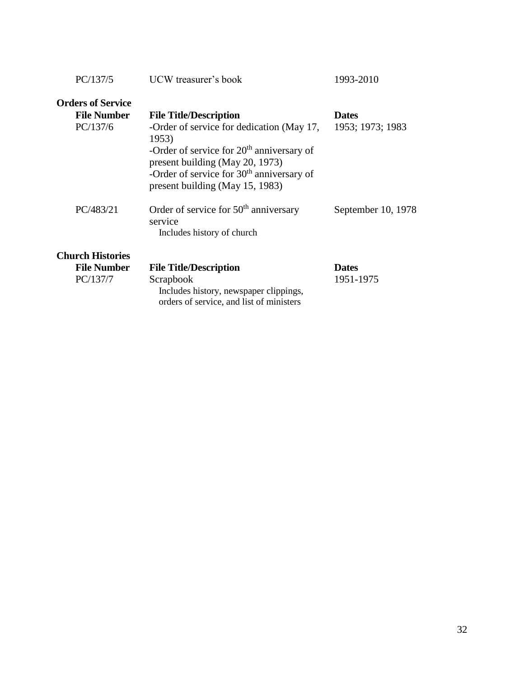| PC/137/5                 | UCW treasurer's book                                                                                                                                                                                                   | 1993-2010          |
|--------------------------|------------------------------------------------------------------------------------------------------------------------------------------------------------------------------------------------------------------------|--------------------|
| <b>Orders of Service</b> |                                                                                                                                                                                                                        |                    |
| <b>File Number</b>       | <b>File Title/Description</b>                                                                                                                                                                                          | <b>Dates</b>       |
| PC/137/6                 | -Order of service for dedication (May 17,<br>1953)<br>-Order of service for $20th$ anniversary of<br>present building (May 20, 1973)<br>-Order of service for $30th$ anniversary of<br>present building (May 15, 1983) | 1953; 1973; 1983   |
| PC/483/21                | Order of service for $50th$ anniversary<br>service<br>Includes history of church                                                                                                                                       | September 10, 1978 |
| <b>Church Histories</b>  |                                                                                                                                                                                                                        |                    |
| <b>File Number</b>       | <b>File Title/Description</b>                                                                                                                                                                                          | <b>Dates</b>       |
| PC/137/7                 | Scrapbook                                                                                                                                                                                                              | 1951-1975          |

 Includes history, newspaper clippings, orders of service, and list of ministers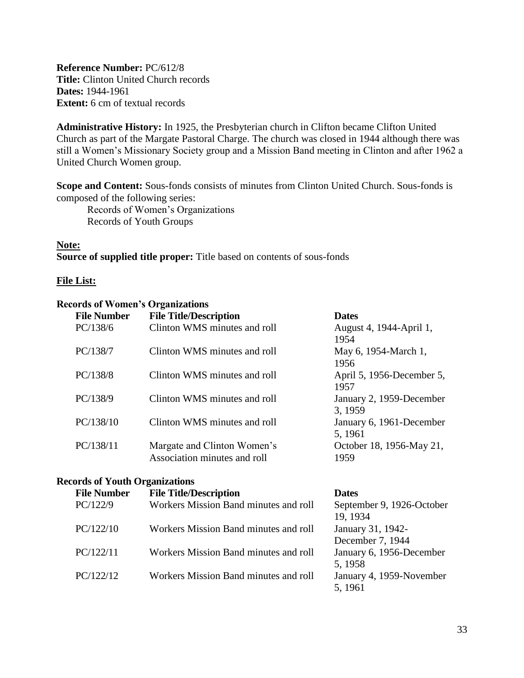<span id="page-32-0"></span>**Reference Number:** PC/612/8 **Title:** Clinton United Church records **Dates:** 1944-1961 **Extent:** 6 cm of textual records

**Administrative History:** In 1925, the Presbyterian church in Clifton became Clifton United Church as part of the Margate Pastoral Charge. The church was closed in 1944 although there was still a Women's Missionary Society group and a Mission Band meeting in Clinton and after 1962 a United Church Women group.

**Scope and Content:** Sous-fonds consists of minutes from Clinton United Church. Sous-fonds is composed of the following series:

Records of Women's Organizations Records of Youth Groups

## **Note:**

**Source of supplied title proper:** Title based on contents of sous-fonds

#### **File List:**

#### **Records of Women's Organizations**

| <b>File Number</b> | <b>File Title/Description</b>                               | <b>Dates</b>                        |
|--------------------|-------------------------------------------------------------|-------------------------------------|
| PC/138/6           | Clinton WMS minutes and roll                                | August 4, 1944-April 1,<br>1954     |
| PC/138/7           | Clinton WMS minutes and roll                                | May 6, 1954-March 1,<br>1956        |
| PC/138/8           | Clinton WMS minutes and roll                                | April 5, 1956-December 5,<br>1957   |
| PC/138/9           | Clinton WMS minutes and roll                                | January 2, 1959-December<br>3, 1959 |
| PC/138/10          | Clinton WMS minutes and roll                                | January 6, 1961-December<br>5, 1961 |
| PC/138/11          | Margate and Clinton Women's<br>Association minutes and roll | October 18, 1956-May 21,<br>1959    |

#### **Records of Youth Organizations**

| <b>File Number</b> | <b>File Title/Description</b>         | <b>Dates</b>                          |
|--------------------|---------------------------------------|---------------------------------------|
| PC/122/9           | Workers Mission Band minutes and roll | September 9, 1926-October<br>19, 1934 |
| PC/122/10          | Workers Mission Band minutes and roll | January 31, 1942-<br>December 7, 1944 |
| PC/122/11          | Workers Mission Band minutes and roll | January 6, 1956-December<br>5, 1958   |
| PC/122/12          | Workers Mission Band minutes and roll | January 4, 1959-November<br>5, 1961   |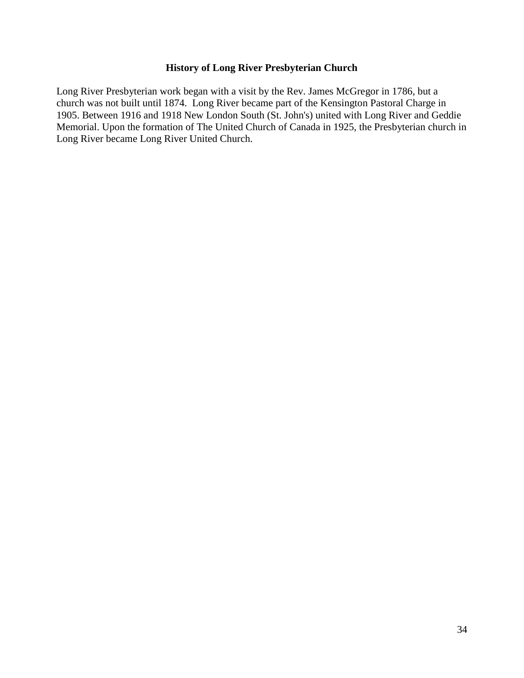#### **History of Long River Presbyterian Church**

<span id="page-33-0"></span>Long River Presbyterian work began with a visit by the Rev. James McGregor in 1786, but a church was not built until 1874. Long River became part of the Kensington Pastoral Charge in 1905. Between 1916 and 1918 New London South (St. John's) united with Long River and Geddie Memorial. Upon the formation of The United Church of Canada in 1925, the Presbyterian church in Long River became Long River United Church.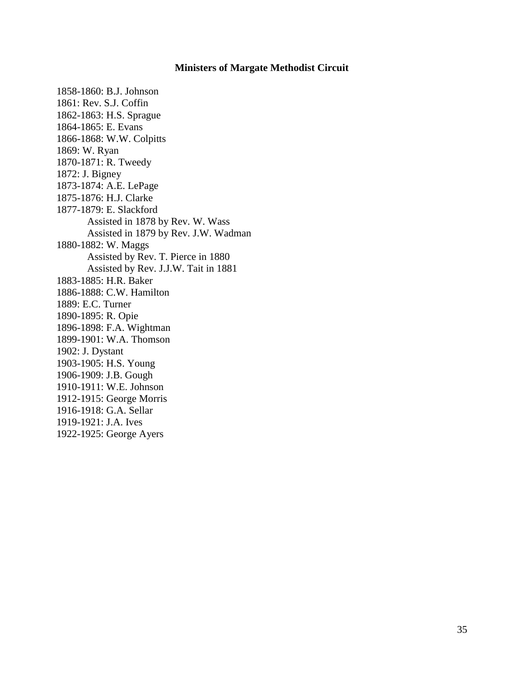#### **Ministers of Margate Methodist Circuit**

<span id="page-34-0"></span>1858-1860: B.J. Johnson 1861: Rev. S.J. Coffin 1862-1863: H.S. Sprague 1864-1865: E. Evans 1866-1868: W.W. Colpitts 1869: W. Ryan 1870-1871: R. Tweedy 1872: J. Bigney 1873-1874: A.E. LePage 1875-1876: H.J. Clarke 1877-1879: E. Slackford Assisted in 1878 by Rev. W. Wass Assisted in 1879 by Rev. J.W. Wadman 1880-1882: W. Maggs Assisted by Rev. T. Pierce in 1880 Assisted by Rev. J.J.W. Tait in 1881 1883-1885: H.R. Baker 1886-1888: C.W. Hamilton 1889: E.C. Turner 1890-1895: R. Opie 1896-1898: F.A. Wightman 1899-1901: W.A. Thomson 1902: J. Dystant 1903-1905: H.S. Young 1906-1909: J.B. Gough 1910-1911: W.E. Johnson 1912-1915: George Morris 1916-1918: G.A. Sellar 1919-1921: J.A. Ives 1922-1925: George Ayers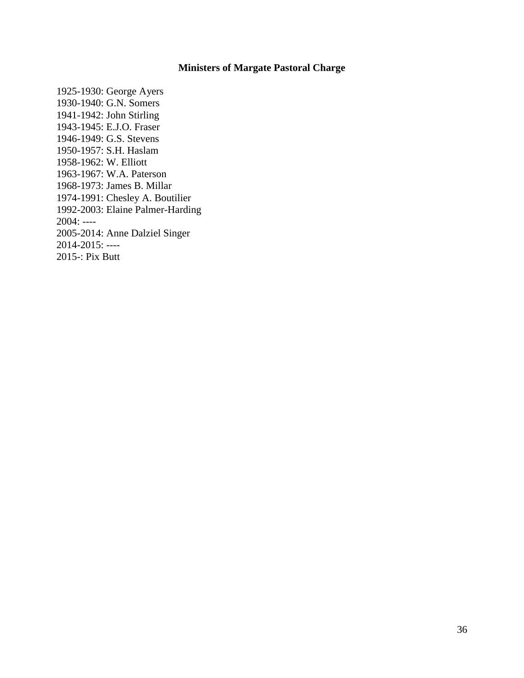### **Ministers of Margate Pastoral Charge**

1925-1930: George Ayers 1930-1940: G.N. Somers 1941-1942: John Stirling 1943-1945: E.J.O. Fraser 1946-1949: G.S. Stevens 1950-1957: S.H. Haslam 1958-1962: W. Elliott 1963-1967: W.A. Paterson 1968-1973: James B. Millar 1974-1991: Chesley A. Boutilier 1992-2003: Elaine Palmer-Harding 2004: ---- 2005-2014: Anne Dalziel Singer 2014-2015: ---- 2015-: Pix Butt